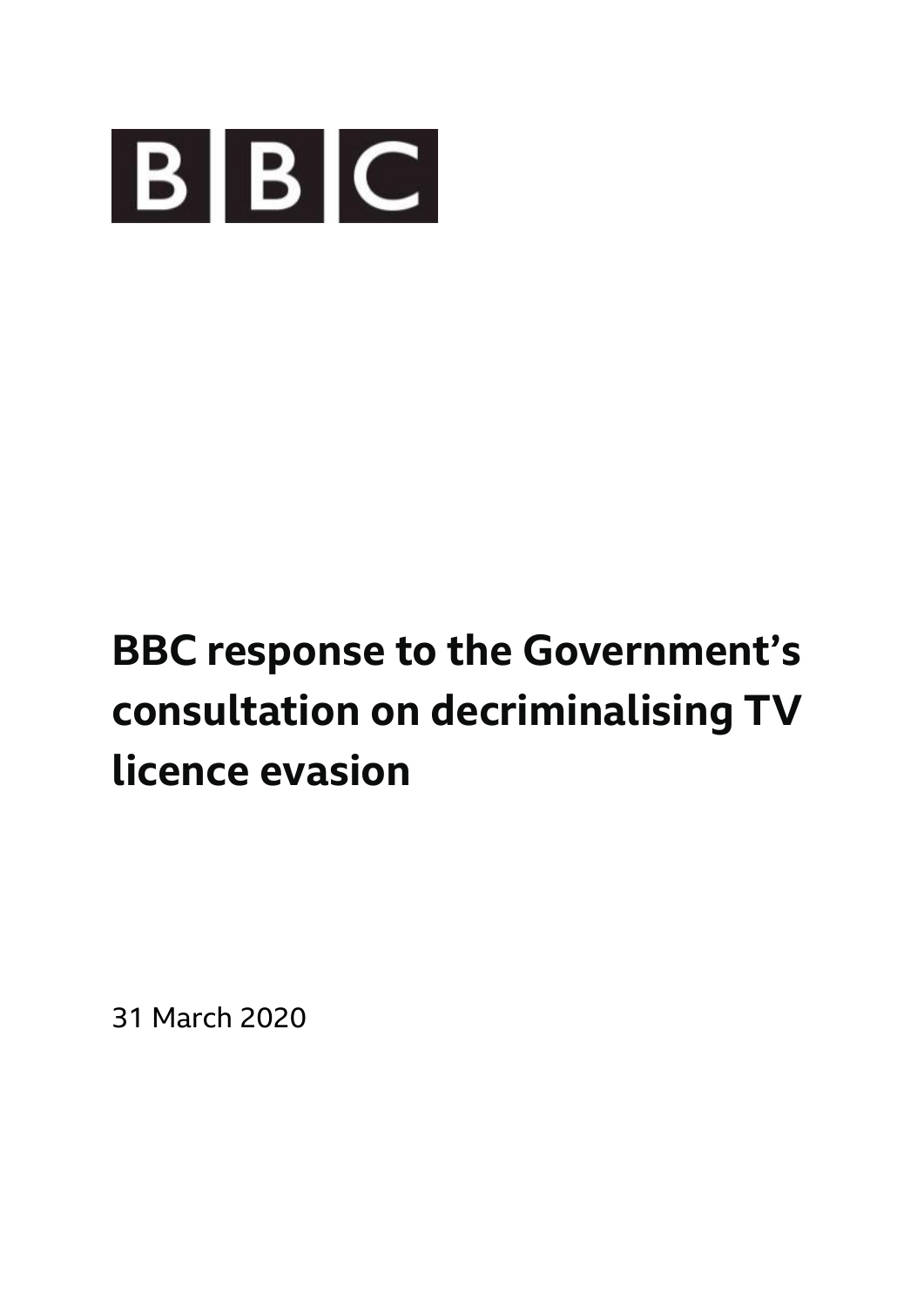

# **BBC response to the Government's consultation on decriminalising TV licence evasion**

31 March 2020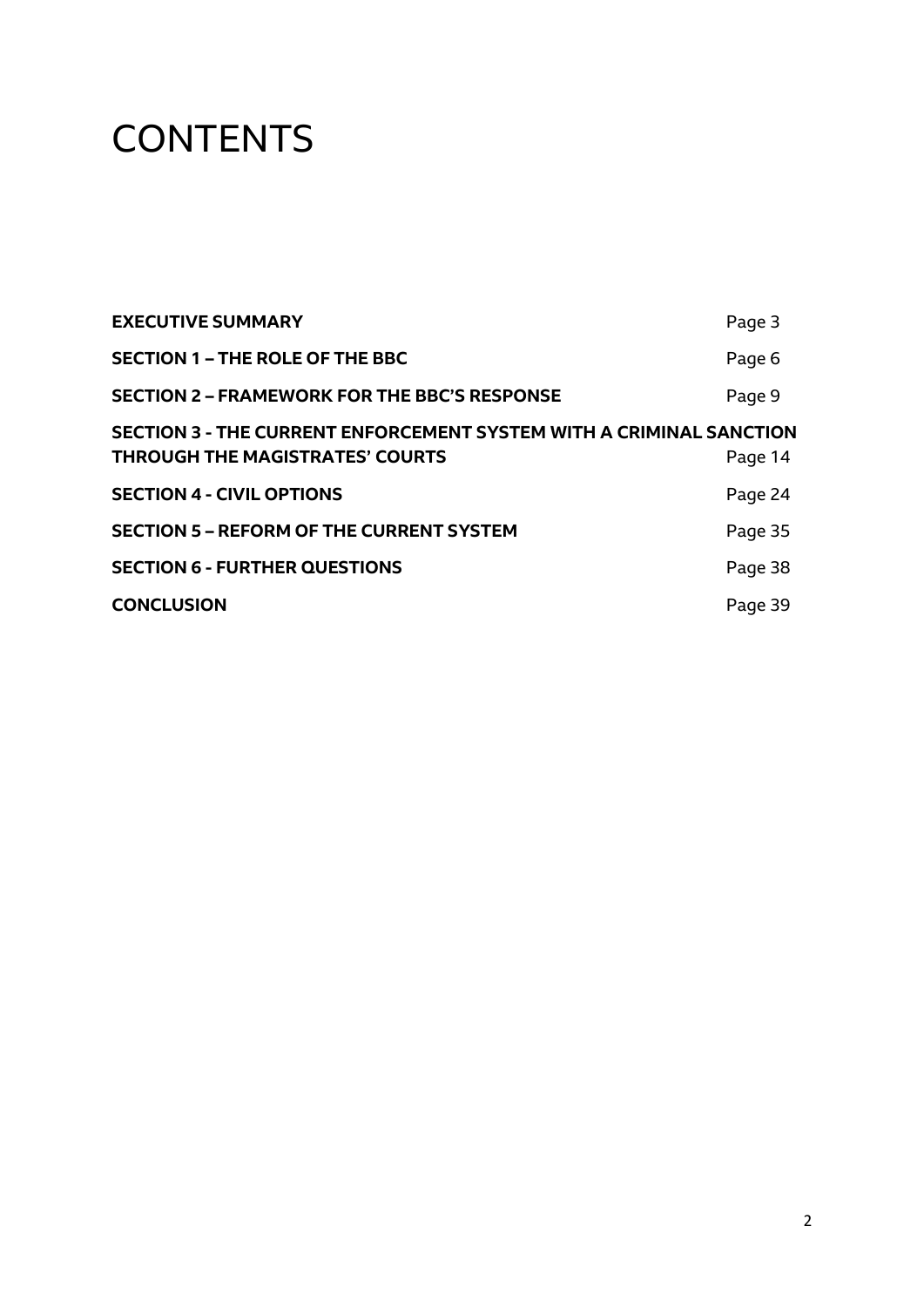# **CONTENTS**

| Page 3                                                                                |
|---------------------------------------------------------------------------------------|
| Page 6                                                                                |
| Page 9                                                                                |
| <b>SECTION 3 - THE CURRENT ENFORCEMENT SYSTEM WITH A CRIMINAL SANCTION</b><br>Page 14 |
| Page 24                                                                               |
| Page 35                                                                               |
| Page 38                                                                               |
| Page 39                                                                               |
|                                                                                       |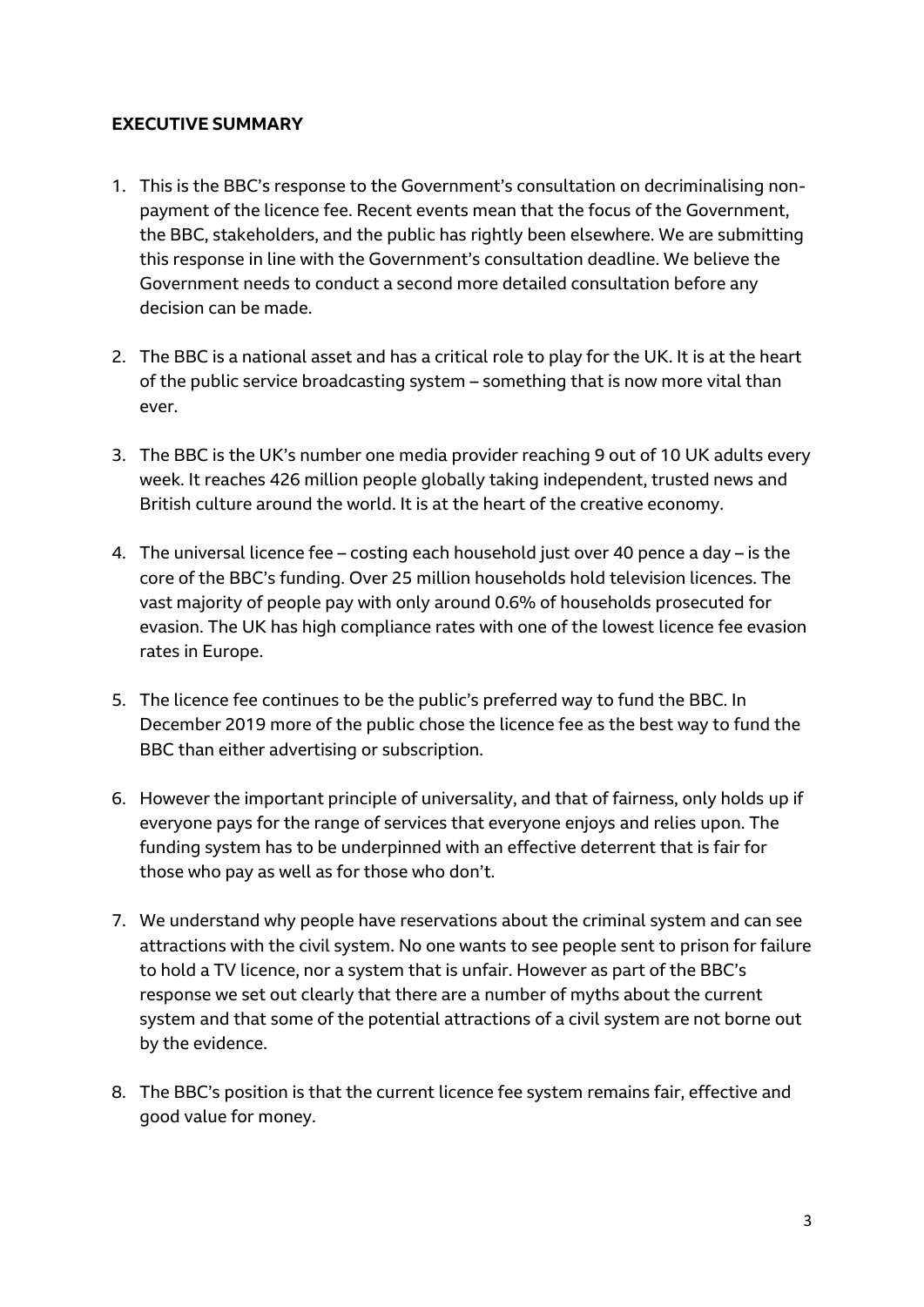# **EXECUTIVE SUMMARY**

- 1. This is the BBC's response to the Government's consultation on decriminalising nonpayment of the licence fee. Recent events mean that the focus of the Government, the BBC, stakeholders, and the public has rightly been elsewhere. We are submitting this response in line with the Government's consultation deadline. We believe the Government needs to conduct a second more detailed consultation before any decision can be made.
- 2. The BBC is a national asset and has a critical role to play for the UK. It is at the heart of the public service broadcasting system – something that is now more vital than ever.
- 3. The BBC is the UK's number one media provider reaching 9 out of 10 UK adults every week. It reaches 426 million people globally taking independent, trusted news and British culture around the world. It is at the heart of the creative economy.
- 4. The universal licence fee costing each household just over 40 pence a day is the core of the BBC's funding. Over 25 million households hold television licences. The vast majority of people pay with only around 0.6% of households prosecuted for evasion. The UK has high compliance rates with one of the lowest licence fee evasion rates in Europe.
- 5. The licence fee continues to be the public's preferred way to fund the BBC. In December 2019 more of the public chose the licence fee as the best way to fund the BBC than either advertising or subscription.
- 6. However the important principle of universality, and that of fairness, only holds up if everyone pays for the range of services that everyone enjoys and relies upon. The funding system has to be underpinned with an effective deterrent that is fair for those who pay as well as for those who don't.
- 7. We understand why people have reservations about the criminal system and can see attractions with the civil system. No one wants to see people sent to prison for failure to hold a TV licence, nor a system that is unfair. However as part of the BBC's response we set out clearly that there are a number of myths about the current system and that some of the potential attractions of a civil system are not borne out by the evidence.
- 8. The BBC's position is that the current licence fee system remains fair, effective and good value for money.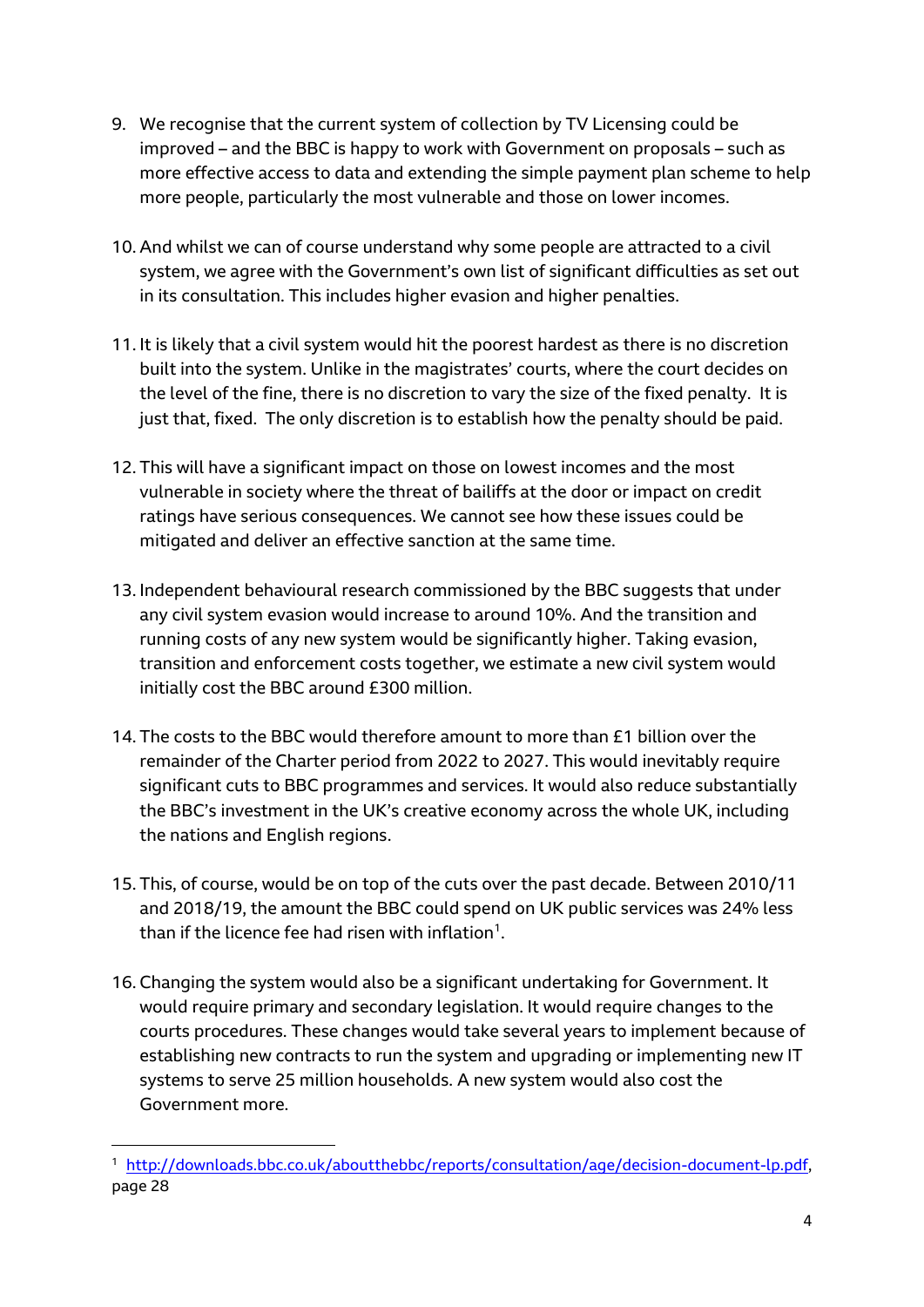- 9. We recognise that the current system of collection by TV Licensing could be improved – and the BBC is happy to work with Government on proposals – such as more effective access to data and extending the simple payment plan scheme to help more people, particularly the most vulnerable and those on lower incomes.
- 10. And whilst we can of course understand why some people are attracted to a civil system, we agree with the Government's own list of significant difficulties as set out in its consultation. This includes higher evasion and higher penalties.
- 11. It is likely that a civil system would hit the poorest hardest as there is no discretion built into the system. Unlike in the magistrates' courts, where the court decides on the level of the fine, there is no discretion to vary the size of the fixed penalty. It is just that, fixed. The only discretion is to establish how the penalty should be paid.
- 12. This will have a significant impact on those on lowest incomes and the most vulnerable in society where the threat of bailiffs at the door or impact on credit ratings have serious consequences. We cannot see how these issues could be mitigated and deliver an effective sanction at the same time.
- 13. Independent behavioural research commissioned by the BBC suggests that under any civil system evasion would increase to around 10%. And the transition and running costs of any new system would be significantly higher. Taking evasion, transition and enforcement costs together, we estimate a new civil system would initially cost the BBC around £300 million.
- 14. The costs to the BBC would therefore amount to more than £1 billion over the remainder of the Charter period from 2022 to 2027. This would inevitably require significant cuts to BBC programmes and services. It would also reduce substantially the BBC's investment in the UK's creative economy across the whole UK, including the nations and English regions.
- 15. This, of course, would be on top of the cuts over the past decade. Between 2010/11 and 2018/19, the amount the BBC could spend on UK public services was 24% less than if the licence fee had risen with inflation $^1$ .
- 16. Changing the system would also be a significant undertaking for Government. It would require primary and secondary legislation. It would require changes to the courts procedures. These changes would take several years to implement because of establishing new contracts to run the system and upgrading or implementing new IT systems to serve 25 million households. A new system would also cost the Government more.

<sup>&</sup>lt;sup>1</sup> [http://downloads.bbc.co.uk/aboutthebbc/reports/consultation/age/decision-document-lp.pdf,](http://downloads.bbc.co.uk/aboutthebbc/reports/consultation/age/decision-document-lp.pdf) page 28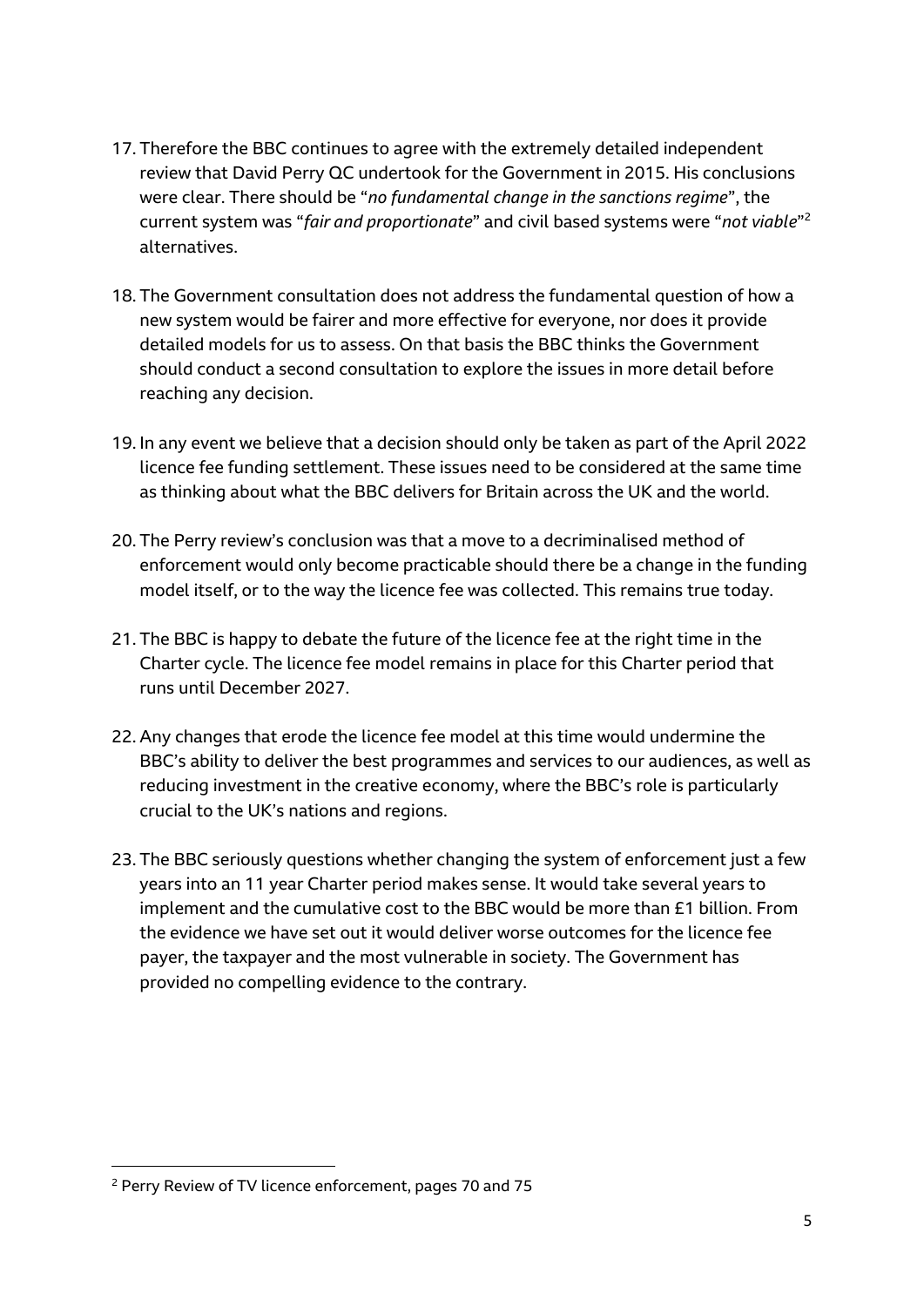- 17. Therefore the BBC continues to agree with the extremely detailed independent review that David Perry QC undertook for the Government in 2015. His conclusions were clear. There should be "*no fundamental change in the sanctions regime*", the current system was "*fair and proportionate*" and civil based systems were "*not viable*" 2 alternatives.
- 18. The Government consultation does not address the fundamental question of how a new system would be fairer and more effective for everyone, nor does it provide detailed models for us to assess. On that basis the BBC thinks the Government should conduct a second consultation to explore the issues in more detail before reaching any decision.
- 19. In any event we believe that a decision should only be taken as part of the April 2022 licence fee funding settlement. These issues need to be considered at the same time as thinking about what the BBC delivers for Britain across the UK and the world.
- 20. The Perry review's conclusion was that a move to a decriminalised method of enforcement would only become practicable should there be a change in the funding model itself, or to the way the licence fee was collected. This remains true today.
- 21. The BBC is happy to debate the future of the licence fee at the right time in the Charter cycle. The licence fee model remains in place for this Charter period that runs until December 2027.
- 22. Any changes that erode the licence fee model at this time would undermine the BBC's ability to deliver the best programmes and services to our audiences, as well as reducing investment in the creative economy, where the BBC's role is particularly crucial to the UK's nations and regions.
- 23. The BBC seriously questions whether changing the system of enforcement just a few years into an 11 year Charter period makes sense. It would take several years to implement and the cumulative cost to the BBC would be more than £1 billion. From the evidence we have set out it would deliver worse outcomes for the licence fee payer, the taxpayer and the most vulnerable in society. The Government has provided no compelling evidence to the contrary.

<sup>2</sup> Perry Review of TV licence enforcement, pages 70 and 75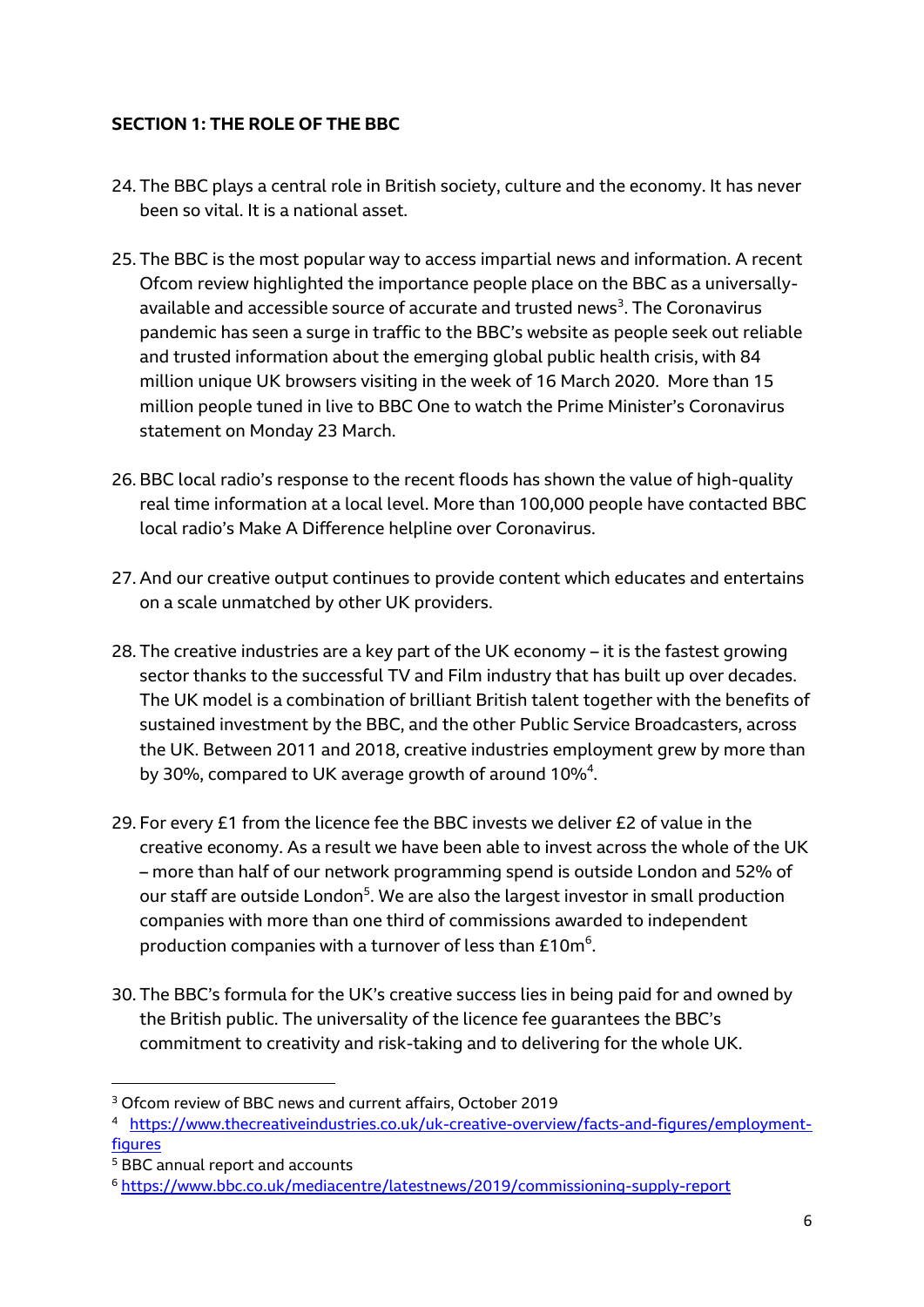# **SECTION 1: THE ROLE OF THE BBC**

- 24. The BBC plays a central role in British society, culture and the economy. It has never been so vital. It is a national asset.
- 25. The BBC is the most popular way to access impartial news and information. A recent Ofcom review highlighted the importance people place on the BBC as a universallyavailable and accessible source of accurate and trusted news<sup>3</sup>. The Coronavirus pandemic has seen a surge in traffic to the BBC's website as people seek out reliable and trusted information about the emerging global public health crisis, with 84 million unique UK browsers visiting in the week of 16 March 2020. More than 15 million people tuned in live to BBC One to watch the Prime Minister's Coronavirus statement on Monday 23 March.
- 26. BBC local radio's response to the recent floods has shown the value of high-quality real time information at a local level. More than 100,000 people have contacted BBC local radio's Make A Difference helpline over Coronavirus.
- 27. And our creative output continues to provide content which educates and entertains on a scale unmatched by other UK providers.
- 28. The creative industries are a key part of the UK economy it is the fastest growing sector thanks to the successful TV and Film industry that has built up over decades. The UK model is a combination of brilliant British talent together with the benefits of sustained investment by the BBC, and the other Public Service Broadcasters, across the UK. Between 2011 and 2018, creative industries employment grew by more than by 30%, compared to UK average growth of around 10%<sup>4</sup>.
- 29. For every £1 from the licence fee the BBC invests we deliver £2 of value in the creative economy. As a result we have been able to invest across the whole of the UK – more than half of our network programming spend is outside London and 52% of our staff are outside London<sup>5</sup>. We are also the largest investor in small production companies with more than one third of commissions awarded to independent production companies with a turnover of less than £10 $m<sup>6</sup>$ .
- 30. The BBC's formula for the UK's creative success lies in being paid for and owned by the British public. The universality of the licence fee guarantees the BBC's commitment to creativity and risk-taking and to delivering for the whole UK.

<sup>&</sup>lt;sup>3</sup> Ofcom review of BBC news and current affairs, October 2019

<sup>4</sup> [https://www.thecreativeindustries.co.uk/uk-creative-overview/facts-and-figures/employment](https://www.thecreativeindustries.co.uk/uk-creative-overview/facts-and-figures/employment-figures)[figures](https://www.thecreativeindustries.co.uk/uk-creative-overview/facts-and-figures/employment-figures)

<sup>5</sup> BBC annual report and accounts

<sup>6</sup> <https://www.bbc.co.uk/mediacentre/latestnews/2019/commissioning-supply-report>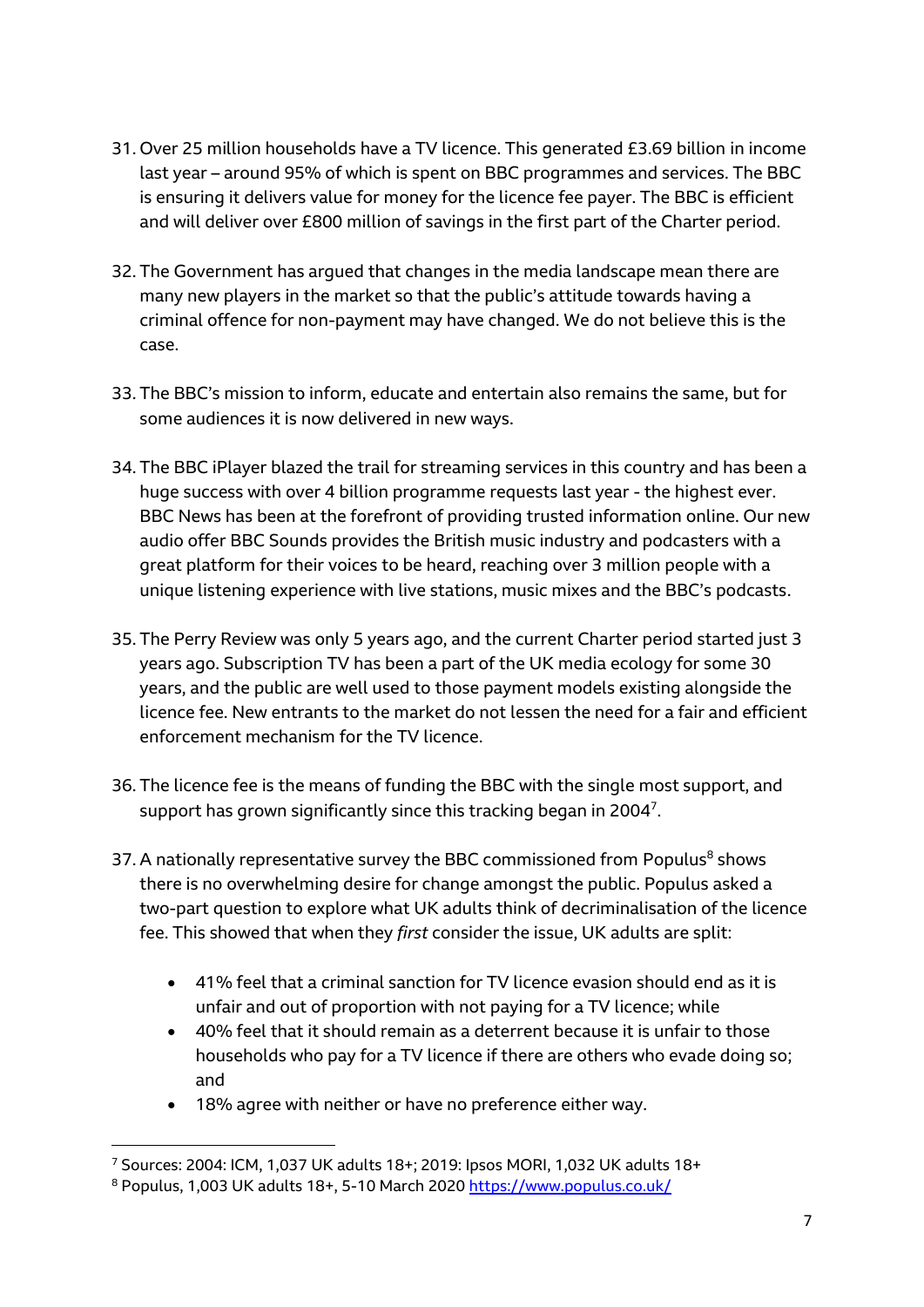- 31. Over 25 million households have a TV licence. This generated £3.69 billion in income last year – around 95% of which is spent on BBC programmes and services. The BBC is ensuring it delivers value for money for the licence fee payer. The BBC is efficient and will deliver over £800 million of savings in the first part of the Charter period.
- 32. The Government has argued that changes in the media landscape mean there are many new players in the market so that the public's attitude towards having a criminal offence for non-payment may have changed. We do not believe this is the case.
- 33. The BBC's mission to inform, educate and entertain also remains the same, but for some audiences it is now delivered in new ways.
- 34. The BBC iPlayer blazed the trail for streaming services in this country and has been a huge success with over 4 billion programme requests last year - the highest ever. BBC News has been at the forefront of providing trusted information online. Our new audio offer BBC Sounds provides the British music industry and podcasters with a great platform for their voices to be heard, reaching over 3 million people with a unique listening experience with live stations, music mixes and the BBC's podcasts.
- 35. The Perry Review was only 5 years ago, and the current Charter period started just 3 years ago. Subscription TV has been a part of the UK media ecology for some 30 years, and the public are well used to those payment models existing alongside the licence fee. New entrants to the market do not lessen the need for a fair and efficient enforcement mechanism for the TV licence.
- 36. The licence fee is the means of funding the BBC with the single most support, and support has grown significantly since this tracking began in 2004<sup>7</sup>.
- 37. A nationally representative survey the BBC commissioned from Populus<sup>8</sup> shows there is no overwhelming desire for change amongst the public. Populus asked a two-part question to explore what UK adults think of decriminalisation of the licence fee. This showed that when they *first* consider the issue, UK adults are split:
	- 41% feel that a criminal sanction for TV licence evasion should end as it is unfair and out of proportion with not paying for a TV licence; while
	- 40% feel that it should remain as a deterrent because it is unfair to those households who pay for a TV licence if there are others who evade doing so; and
	- 18% agree with neither or have no preference either way.

<sup>7</sup> Sources: 2004: ICM, 1,037 UK adults 18+; 2019: Ipsos MORI, 1,032 UK adults 18+

<sup>8</sup> Populus, 1,003 UK adults 18+, 5-10 March 2020 <https://www.populus.co.uk/>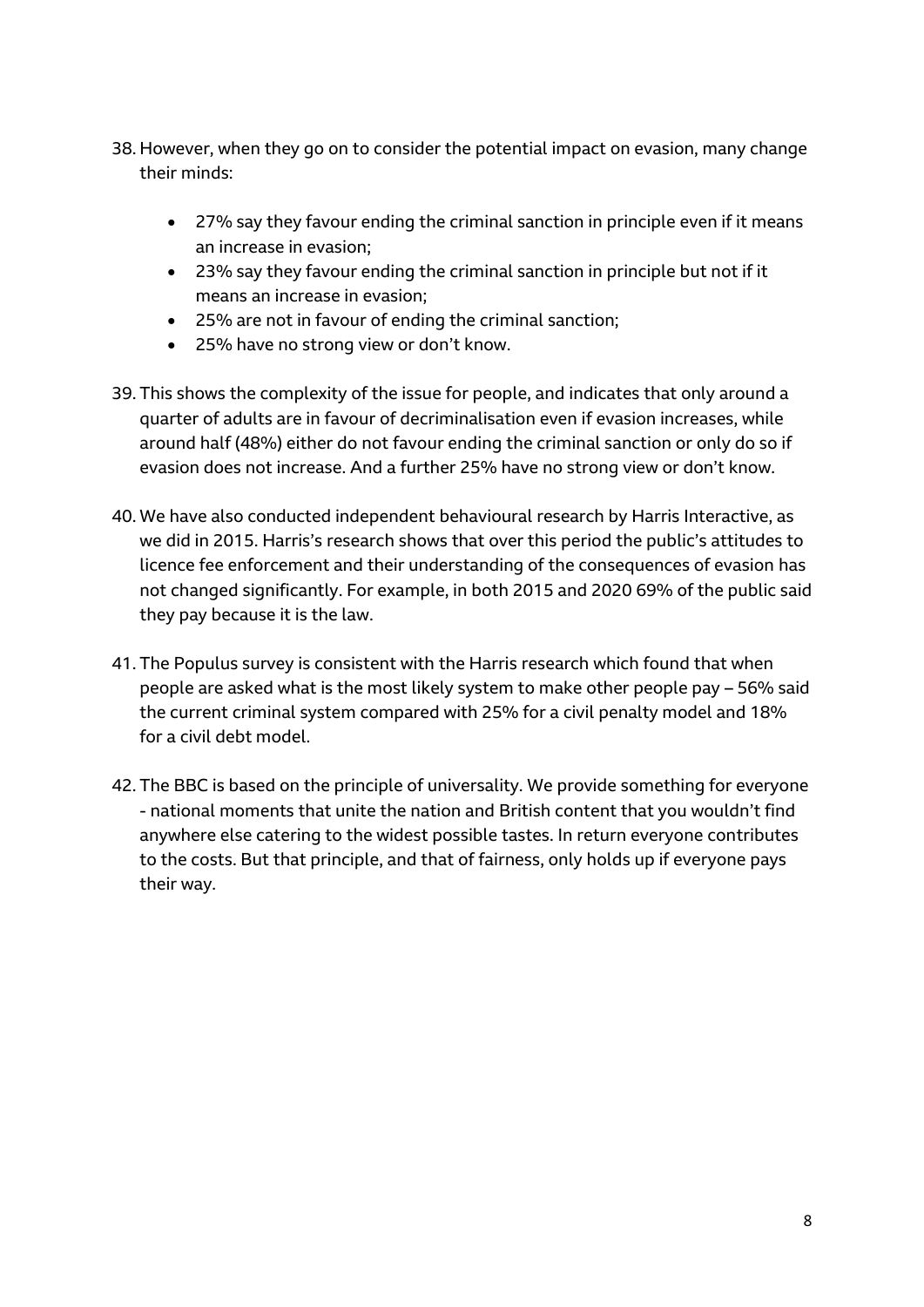- 38. However, when they go on to consider the potential impact on evasion, many change their minds:
	- 27% say they favour ending the criminal sanction in principle even if it means an increase in evasion;
	- 23% say they favour ending the criminal sanction in principle but not if it means an increase in evasion;
	- 25% are not in favour of ending the criminal sanction;
	- 25% have no strong view or don't know.
- 39. This shows the complexity of the issue for people, and indicates that only around a quarter of adults are in favour of decriminalisation even if evasion increases, while around half (48%) either do not favour ending the criminal sanction or only do so if evasion does not increase. And a further 25% have no strong view or don't know.
- 40. We have also conducted independent behavioural research by Harris Interactive, as we did in 2015. Harris's research shows that over this period the public's attitudes to licence fee enforcement and their understanding of the consequences of evasion has not changed significantly. For example, in both 2015 and 2020 69% of the public said they pay because it is the law.
- 41. The Populus survey is consistent with the Harris research which found that when people are asked what is the most likely system to make other people pay – 56% said the current criminal system compared with 25% for a civil penalty model and 18% for a civil debt model.
- 42. The BBC is based on the principle of universality. We provide something for everyone - national moments that unite the nation and British content that you wouldn't find anywhere else catering to the widest possible tastes. In return everyone contributes to the costs. But that principle, and that of fairness, only holds up if everyone pays their way.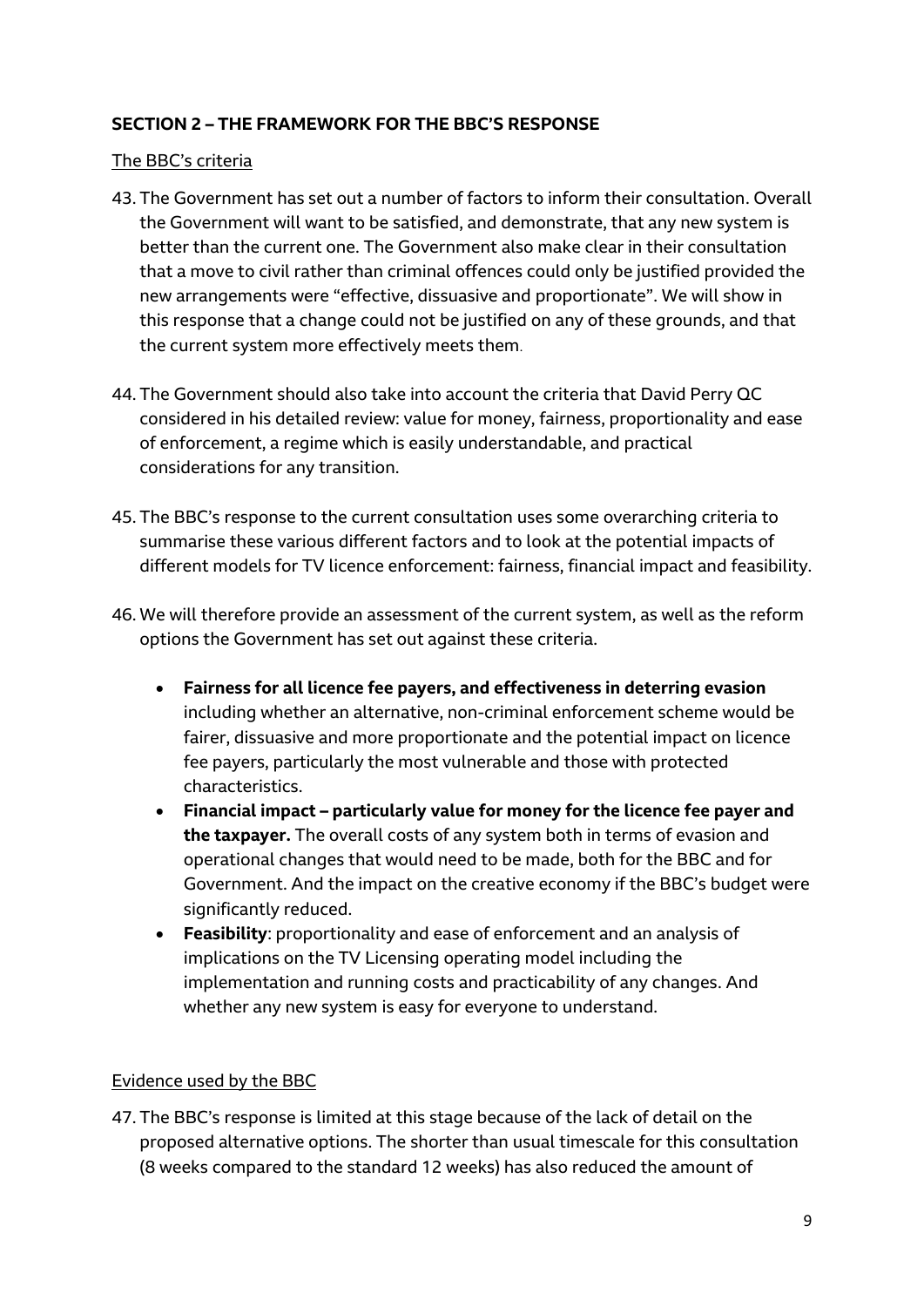## **SECTION 2 – THE FRAMEWORK FOR THE BBC'S RESPONSE**

#### The BBC's criteria

- 43. The Government has set out a number of factors to inform their consultation. Overall the Government will want to be satisfied, and demonstrate, that any new system is better than the current one. The Government also make clear in their consultation that a move to civil rather than criminal offences could only be justified provided the new arrangements were "effective, dissuasive and proportionate". We will show in this response that a change could not be justified on any of these grounds, and that the current system more effectively meets them.
- 44. The Government should also take into account the criteria that David Perry QC considered in his detailed review: value for money, fairness, proportionality and ease of enforcement, a regime which is easily understandable, and practical considerations for any transition.
- 45. The BBC's response to the current consultation uses some overarching criteria to summarise these various different factors and to look at the potential impacts of different models for TV licence enforcement: fairness, financial impact and feasibility.
- 46. We will therefore provide an assessment of the current system, as well as the reform options the Government has set out against these criteria.
	- **Fairness for all licence fee payers, and effectiveness in deterring evasion** including whether an alternative, non-criminal enforcement scheme would be fairer, dissuasive and more proportionate and the potential impact on licence fee payers, particularly the most vulnerable and those with protected characteristics.
	- **Financial impact – particularly value for money for the licence fee payer and the taxpayer.** The overall costs of any system both in terms of evasion and operational changes that would need to be made, both for the BBC and for Government. And the impact on the creative economy if the BBC's budget were significantly reduced.
	- **Feasibility**: proportionality and ease of enforcement and an analysis of implications on the TV Licensing operating model including the implementation and running costs and practicability of any changes. And whether any new system is easy for everyone to understand.

#### Evidence used by the BBC

47. The BBC's response is limited at this stage because of the lack of detail on the proposed alternative options. The shorter than usual timescale for this consultation (8 weeks compared to the standard 12 weeks) has also reduced the amount of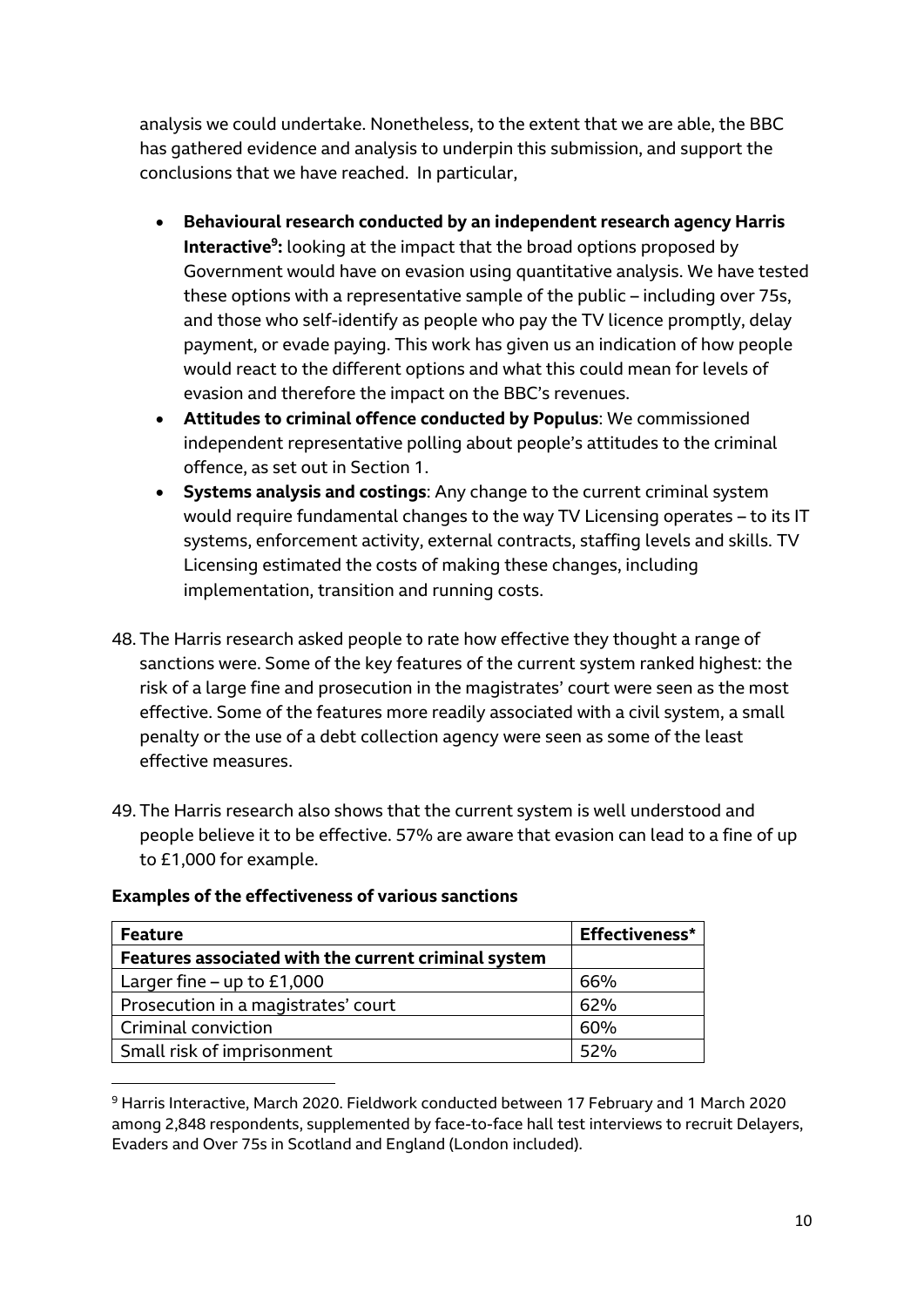analysis we could undertake. Nonetheless, to the extent that we are able, the BBC has gathered evidence and analysis to underpin this submission, and support the conclusions that we have reached. In particular,

- **Behavioural research conducted by an independent research agency Harris Interactive<sup>9</sup> :** looking at the impact that the broad options proposed by Government would have on evasion using quantitative analysis. We have tested these options with a representative sample of the public – including over 75s, and those who self-identify as people who pay the TV licence promptly, delay payment, or evade paying. This work has given us an indication of how people would react to the different options and what this could mean for levels of evasion and therefore the impact on the BBC's revenues.
- **Attitudes to criminal offence conducted by Populus**: We commissioned independent representative polling about people's attitudes to the criminal offence, as set out in Section 1.
- **Systems analysis and costings**: Any change to the current criminal system would require fundamental changes to the way TV Licensing operates – to its IT systems, enforcement activity, external contracts, staffing levels and skills. TV Licensing estimated the costs of making these changes, including implementation, transition and running costs.
- 48. The Harris research asked people to rate how effective they thought a range of sanctions were. Some of the key features of the current system ranked highest: the risk of a large fine and prosecution in the magistrates' court were seen as the most effective. Some of the features more readily associated with a civil system, a small penalty or the use of a debt collection agency were seen as some of the least effective measures.
- 49. The Harris research also shows that the current system is well understood and people believe it to be effective. 57% are aware that evasion can lead to a fine of up to £1,000 for example.

| <b>Feature</b>                                       | Effectiveness* |  |
|------------------------------------------------------|----------------|--|
| Features associated with the current criminal system |                |  |
| Larger fine – up to $£1,000$                         | 66%            |  |
| Prosecution in a magistrates' court                  | 62%            |  |
| Criminal conviction                                  | 60%            |  |
| Small risk of imprisonment                           | 52%            |  |

#### **Examples of the effectiveness of various sanctions**

<sup>9</sup> Harris Interactive, March 2020. Fieldwork conducted between 17 February and 1 March 2020 among 2,848 respondents, supplemented by face-to-face hall test interviews to recruit Delayers, Evaders and Over 75s in Scotland and England (London included).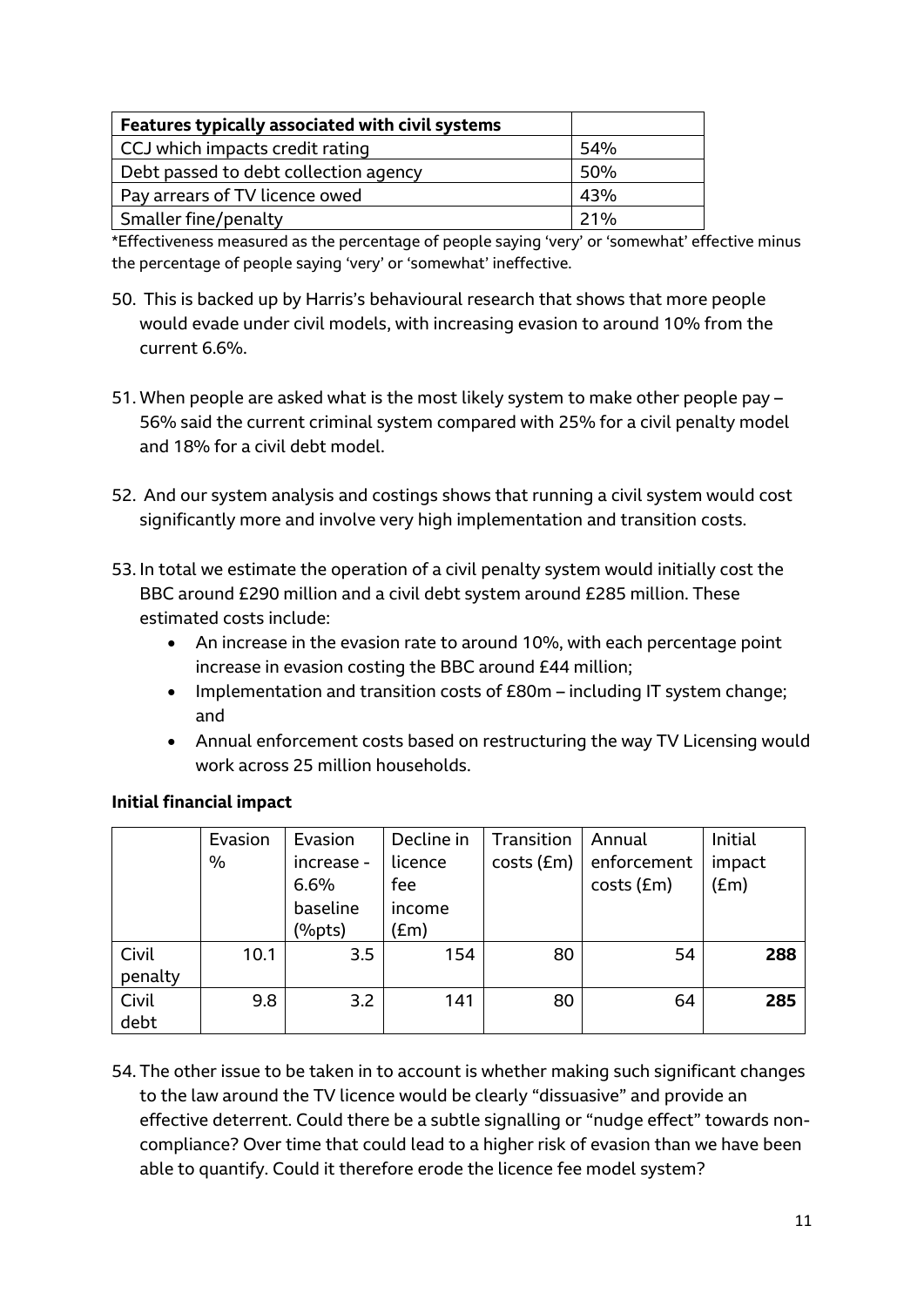| Features typically associated with civil systems |     |  |  |  |
|--------------------------------------------------|-----|--|--|--|
| CCJ which impacts credit rating                  | 54% |  |  |  |
| Debt passed to debt collection agency            | 50% |  |  |  |
| Pay arrears of TV licence owed                   | 43% |  |  |  |
| Smaller fine/penalty                             | 21% |  |  |  |

\*Effectiveness measured as the percentage of people saying 'very' or 'somewhat' effective minus the percentage of people saying 'very' or 'somewhat' ineffective.

- 50. This is backed up by Harris's behavioural research that shows that more people would evade under civil models, with increasing evasion to around 10% from the current 6.6%.
- 51. When people are asked what is the most likely system to make other people pay 56% said the current criminal system compared with 25% for a civil penalty model and 18% for a civil debt model.
- 52. And our system analysis and costings shows that running a civil system would cost significantly more and involve very high implementation and transition costs.
- 53. In total we estimate the operation of a civil penalty system would initially cost the BBC around £290 million and a civil debt system around £285 million. These estimated costs include:
	- An increase in the evasion rate to around 10%, with each percentage point increase in evasion costing the BBC around £44 million;
	- Implementation and transition costs of £80m including IT system change; and
	- Annual enforcement costs based on restructuring the way TV Licensing would work across 25 million households.

|         | Evasion | Evasion           | Decline in | Transition       | Annual      | Initial       |
|---------|---------|-------------------|------------|------------------|-------------|---------------|
|         | $\%$    | increase -        | licence    | $costs$ ( $Em$ ) | enforcement | impact        |
|         |         | 6.6%              | fee        |                  | costs (£m)  | $(\text{Em})$ |
|         |         | baseline          | income     |                  |             |               |
|         |         | $(% )^{p}$ (%pts) | (£m)       |                  |             |               |
| Civil   | 10.1    | 3.5               | 154        | 80               | 54          | 288           |
| penalty |         |                   |            |                  |             |               |
| Civil   | 9.8     | 3.2               | 141        | 80               | 64          | 285           |
| debt    |         |                   |            |                  |             |               |

# **Initial financial impact**

54. The other issue to be taken in to account is whether making such significant changes to the law around the TV licence would be clearly "dissuasive" and provide an effective deterrent. Could there be a subtle signalling or "nudge effect" towards noncompliance? Over time that could lead to a higher risk of evasion than we have been able to quantify. Could it therefore erode the licence fee model system?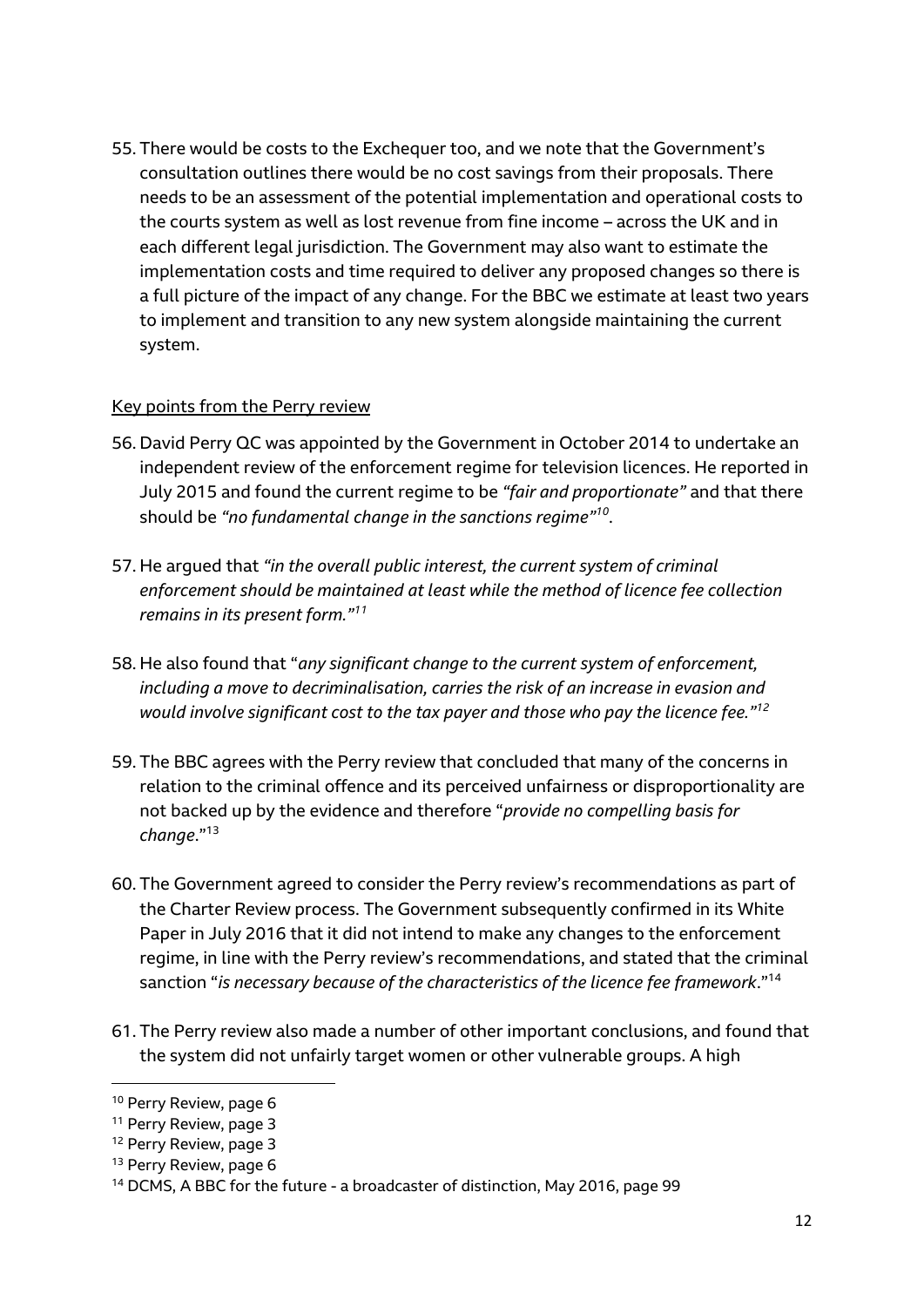55. There would be costs to the Exchequer too, and we note that the Government's consultation outlines there would be no cost savings from their proposals. There needs to be an assessment of the potential implementation and operational costs to the courts system as well as lost revenue from fine income – across the UK and in each different legal jurisdiction. The Government may also want to estimate the implementation costs and time required to deliver any proposed changes so there is a full picture of the impact of any change. For the BBC we estimate at least two years to implement and transition to any new system alongside maintaining the current system.

#### Key points from the Perry review

- 56. David Perry QC was appointed by the Government in October 2014 to undertake an independent review of the enforcement regime for television licences. He reported in July 2015 and found the current regime to be *"fair and proportionate"* and that there should be *"no fundamental change in the sanctions regime"<sup>10</sup>* .
- 57. He argued that *"in the overall public interest, the current system of criminal enforcement should be maintained at least while the method of licence fee collection remains in its present form." 11*
- 58. He also found that "*any significant change to the current system of enforcement, including a move to decriminalisation, carries the risk of an increase in evasion and would involve significant cost to the tax payer and those who pay the licence fee." 12*
- 59. The BBC agrees with the Perry review that concluded that many of the concerns in relation to the criminal offence and its perceived unfairness or disproportionality are not backed up by the evidence and therefore "*provide no compelling basis for change*."<sup>13</sup>
- 60. The Government agreed to consider the Perry review's recommendations as part of the Charter Review process. The Government subsequently confirmed in its White Paper in July 2016 that it did not intend to make any changes to the enforcement regime, in line with the Perry review's recommendations, and stated that the criminal sanction "*is necessary because of the characteristics of the licence fee framework*." 14
- 61. The Perry review also made a number of other important conclusions, and found that the system did not unfairly target women or other vulnerable groups. A high

<sup>&</sup>lt;sup>10</sup> Perry Review, page 6

<sup>&</sup>lt;sup>11</sup> Perry Review, page 3

<sup>&</sup>lt;sup>12</sup> Perry Review, page 3

<sup>&</sup>lt;sup>13</sup> Perry Review, page 6

<sup>14</sup> DCMS, A BBC for the future - a broadcaster of distinction, May 2016, page 99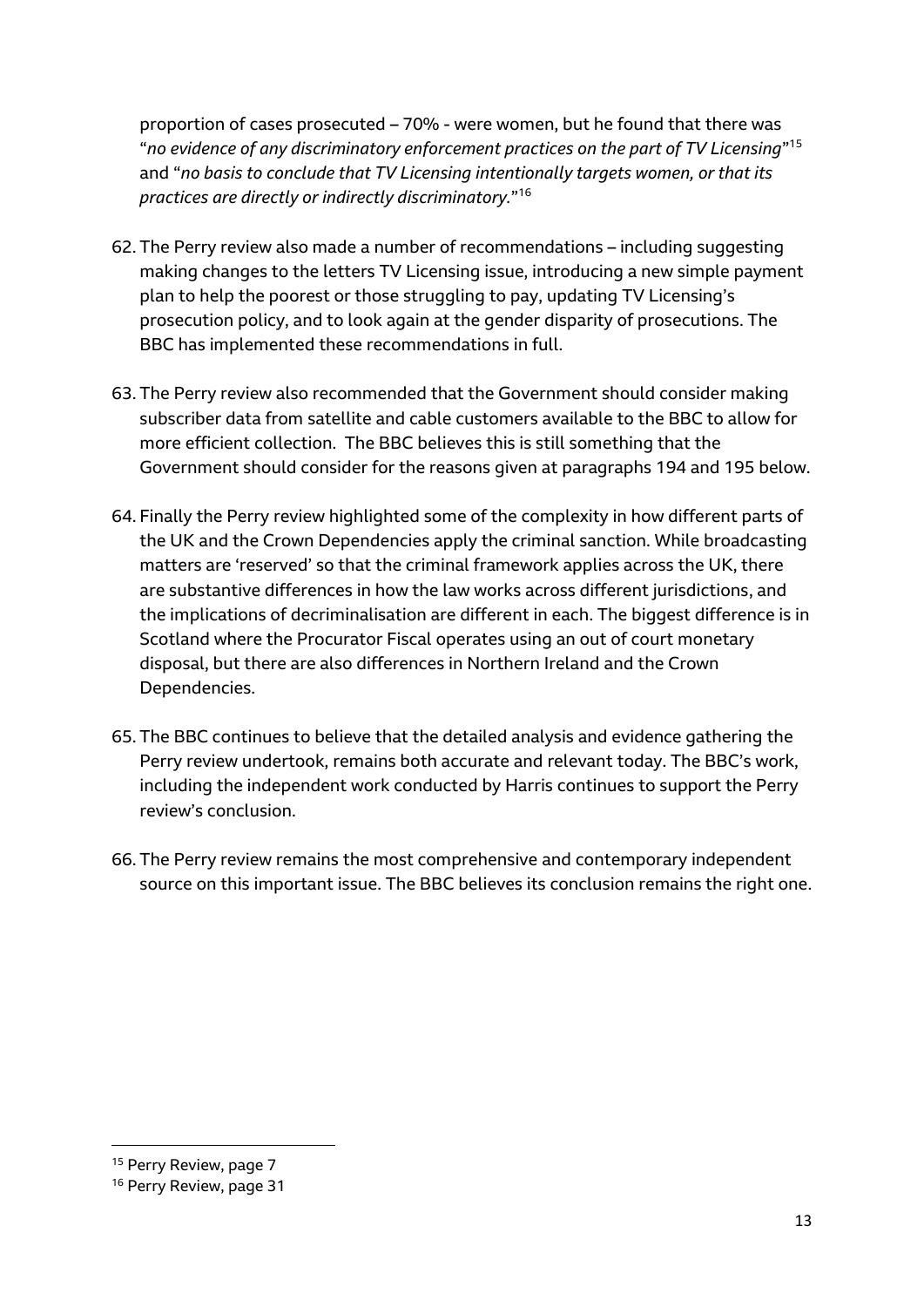proportion of cases prosecuted – 70% - were women, but he found that there was "*no evidence of any discriminatory enforcement practices on the part of TV Licensing*" 15 and "*no basis to conclude that TV Licensing intentionally targets women, or that its practices are directly or indirectly discriminatory.*" 16

- 62. The Perry review also made a number of recommendations including suggesting making changes to the letters TV Licensing issue, introducing a new simple payment plan to help the poorest or those struggling to pay, updating TV Licensing's prosecution policy, and to look again at the gender disparity of prosecutions. The BBC has implemented these recommendations in full.
- 63. The Perry review also recommended that the Government should consider making subscriber data from satellite and cable customers available to the BBC to allow for more efficient collection. The BBC believes this is still something that the Government should consider for the reasons given at paragraphs 194 and 195 below.
- 64. Finally the Perry review highlighted some of the complexity in how different parts of the UK and the Crown Dependencies apply the criminal sanction. While broadcasting matters are 'reserved' so that the criminal framework applies across the UK, there are substantive differences in how the law works across different jurisdictions, and the implications of decriminalisation are different in each. The biggest difference is in Scotland where the Procurator Fiscal operates using an out of court monetary disposal, but there are also differences in Northern Ireland and the Crown Dependencies.
- 65. The BBC continues to believe that the detailed analysis and evidence gathering the Perry review undertook, remains both accurate and relevant today. The BBC's work, including the independent work conducted by Harris continues to support the Perry review's conclusion.
- 66. The Perry review remains the most comprehensive and contemporary independent source on this important issue. The BBC believes its conclusion remains the right one.

<sup>&</sup>lt;sup>15</sup> Perry Review, page 7

<sup>&</sup>lt;sup>16</sup> Perry Review, page 31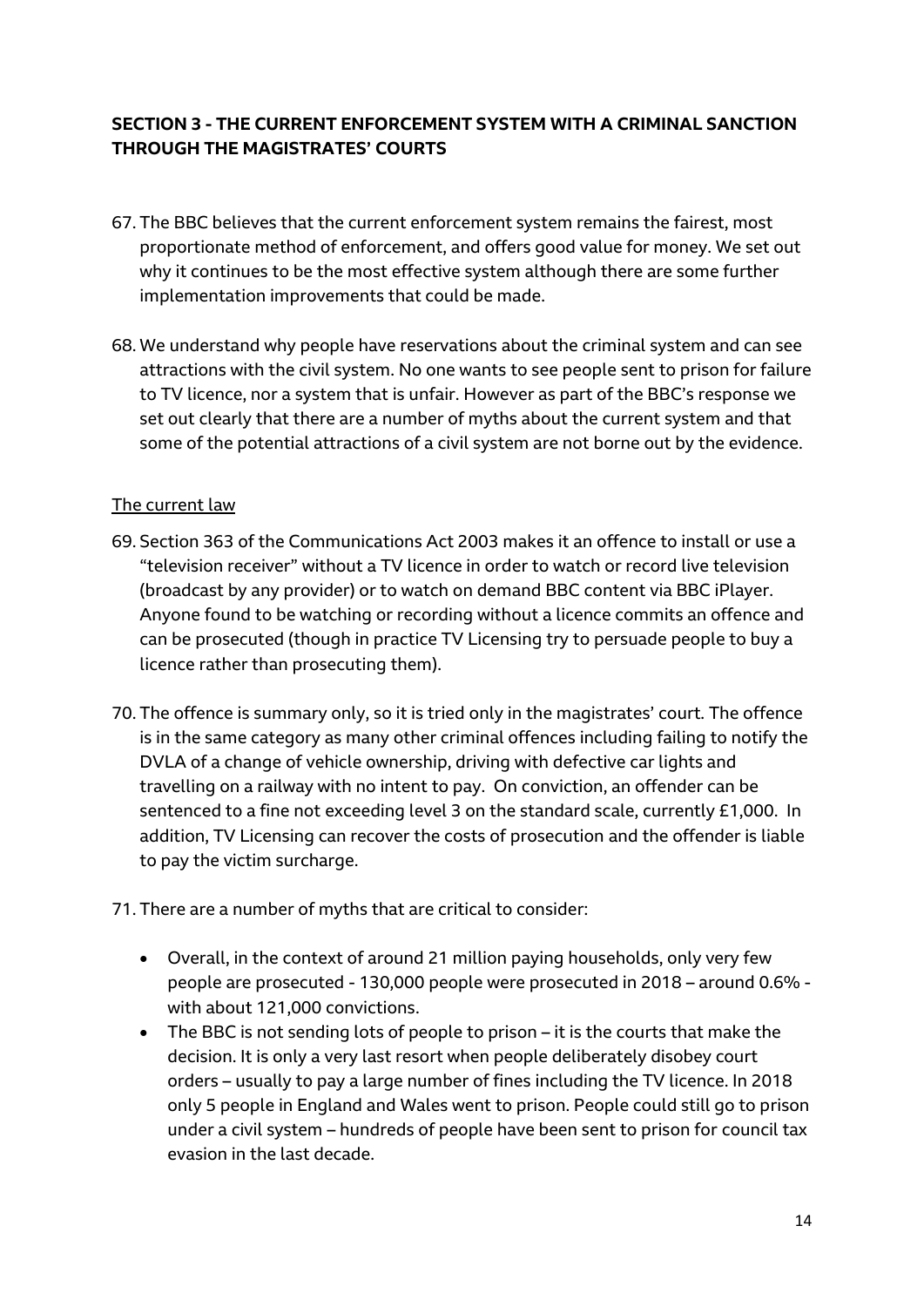# **SECTION 3 - THE CURRENT ENFORCEMENT SYSTEM WITH A CRIMINAL SANCTION THROUGH THE MAGISTRATES' COURTS**

- 67. The BBC believes that the current enforcement system remains the fairest, most proportionate method of enforcement, and offers good value for money. We set out why it continues to be the most effective system although there are some further implementation improvements that could be made.
- 68. We understand why people have reservations about the criminal system and can see attractions with the civil system. No one wants to see people sent to prison for failure to TV licence, nor a system that is unfair. However as part of the BBC's response we set out clearly that there are a number of myths about the current system and that some of the potential attractions of a civil system are not borne out by the evidence.

#### The current law

- 69. Section 363 of the Communications Act 2003 makes it an offence to install or use a "television receiver" without a TV licence in order to watch or record live television (broadcast by any provider) or to watch on demand BBC content via BBC iPlayer. Anyone found to be watching or recording without a licence commits an offence and can be prosecuted (though in practice TV Licensing try to persuade people to buy a licence rather than prosecuting them).
- 70. The offence is summary only, so it is tried only in the magistrates' court. The offence is in the same category as many other criminal offences including failing to notify the DVLA of a change of vehicle ownership, driving with defective car lights and travelling on a railway with no intent to pay. On conviction, an offender can be sentenced to a fine not exceeding level 3 on the standard scale, currently £1,000. In addition, TV Licensing can recover the costs of prosecution and the offender is liable to pay the victim surcharge.
- 71. There are a number of myths that are critical to consider:
	- Overall, in the context of around 21 million paying households, only very few people are prosecuted - 130,000 people were prosecuted in 2018 – around 0.6% with about 121,000 convictions.
	- The BBC is not sending lots of people to prison it is the courts that make the decision. It is only a very last resort when people deliberately disobey court orders – usually to pay a large number of fines including the TV licence. In 2018 only 5 people in England and Wales went to prison. People could still go to prison under a civil system – hundreds of people have been sent to prison for council tax evasion in the last decade.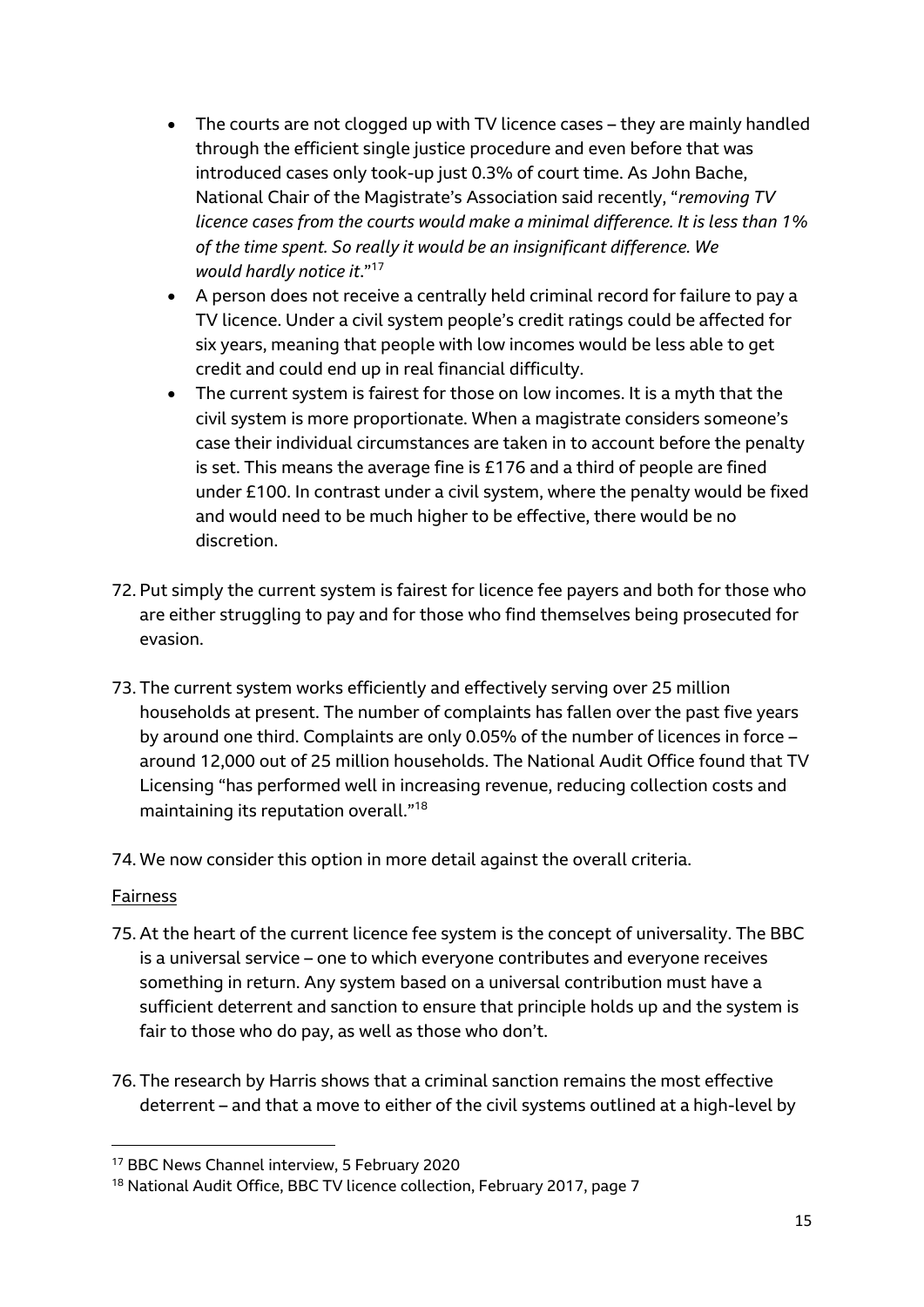- The courts are not clogged up with TV licence cases they are mainly handled through the efficient single justice procedure and even before that was introduced cases only took-up just 0.3% of court time. As John Bache, National Chair of the Magistrate's Association said recently, "*removing TV licence cases from the courts would make a minimal difference. It is less than 1% of the time spent. So really it would be an insignificant difference. We would hardly notice it*."<sup>17</sup>
- A person does not receive a centrally held criminal record for failure to pay a TV licence. Under a civil system people's credit ratings could be affected for six years, meaning that people with low incomes would be less able to get credit and could end up in real financial difficulty.
- The current system is fairest for those on low incomes. It is a myth that the civil system is more proportionate. When a magistrate considers someone's case their individual circumstances are taken in to account before the penalty is set. This means the average fine is £176 and a third of people are fined under £100. In contrast under a civil system, where the penalty would be fixed and would need to be much higher to be effective, there would be no discretion.
- 72. Put simply the current system is fairest for licence fee payers and both for those who are either struggling to pay and for those who find themselves being prosecuted for evasion.
- 73. The current system works efficiently and effectively serving over 25 million households at present. The number of complaints has fallen over the past five years by around one third. Complaints are only 0.05% of the number of licences in force – around 12,000 out of 25 million households. The National Audit Office found that TV Licensing "has performed well in increasing revenue, reducing collection costs and maintaining its reputation overall." 18
- 74. We now consider this option in more detail against the overall criteria.

#### Fairness

- 75. At the heart of the current licence fee system is the concept of universality. The BBC is a universal service – one to which everyone contributes and everyone receives something in return. Any system based on a universal contribution must have a sufficient deterrent and sanction to ensure that principle holds up and the system is fair to those who do pay, as well as those who don't.
- 76. The research by Harris shows that a criminal sanction remains the most effective deterrent – and that a move to either of the civil systems outlined at a high-level by

<sup>17</sup> BBC News Channel interview, 5 February 2020

<sup>&</sup>lt;sup>18</sup> National Audit Office, BBC TV licence collection, February 2017, page 7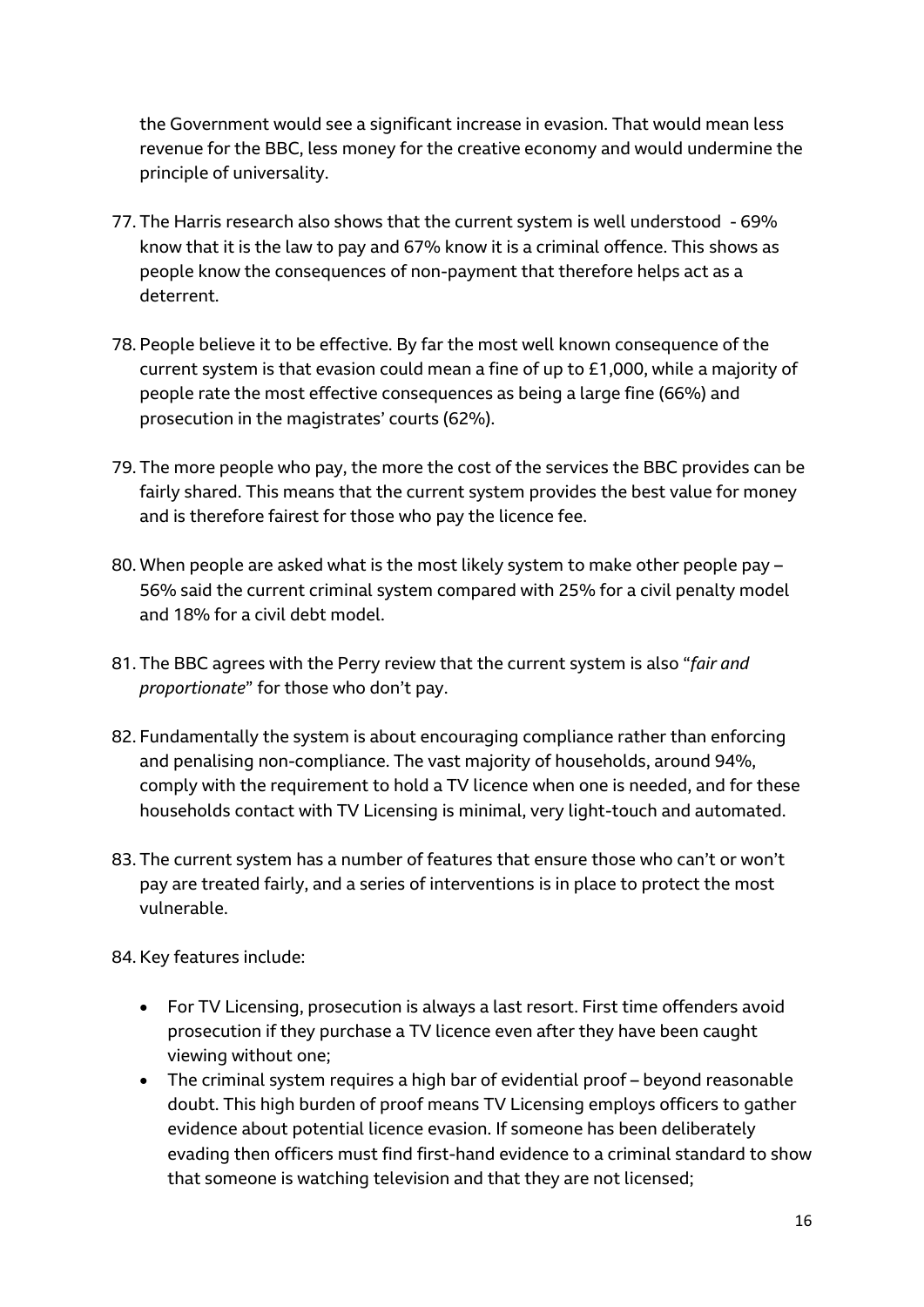the Government would see a significant increase in evasion. That would mean less revenue for the BBC, less money for the creative economy and would undermine the principle of universality.

- 77. The Harris research also shows that the current system is well understood 69% know that it is the law to pay and 67% know it is a criminal offence. This shows as people know the consequences of non-payment that therefore helps act as a deterrent.
- 78. People believe it to be effective. By far the most well known consequence of the current system is that evasion could mean a fine of up to £1,000, while a majority of people rate the most effective consequences as being a large fine (66%) and prosecution in the magistrates' courts (62%).
- 79. The more people who pay, the more the cost of the services the BBC provides can be fairly shared. This means that the current system provides the best value for money and is therefore fairest for those who pay the licence fee.
- 80. When people are asked what is the most likely system to make other people pay 56% said the current criminal system compared with 25% for a civil penalty model and 18% for a civil debt model.
- 81. The BBC agrees with the Perry review that the current system is also "*fair and proportionate*" for those who don't pay.
- 82. Fundamentally the system is about encouraging compliance rather than enforcing and penalising non-compliance. The vast majority of households, around 94%, comply with the requirement to hold a TV licence when one is needed, and for these households contact with TV Licensing is minimal, very light-touch and automated.
- 83. The current system has a number of features that ensure those who can't or won't pay are treated fairly, and a series of interventions is in place to protect the most vulnerable.

84. Key features include:

- For TV Licensing, prosecution is always a last resort. First time offenders avoid prosecution if they purchase a TV licence even after they have been caught viewing without one;
- The criminal system requires a high bar of evidential proof beyond reasonable doubt. This high burden of proof means TV Licensing employs officers to gather evidence about potential licence evasion. If someone has been deliberately evading then officers must find first-hand evidence to a criminal standard to show that someone is watching television and that they are not licensed;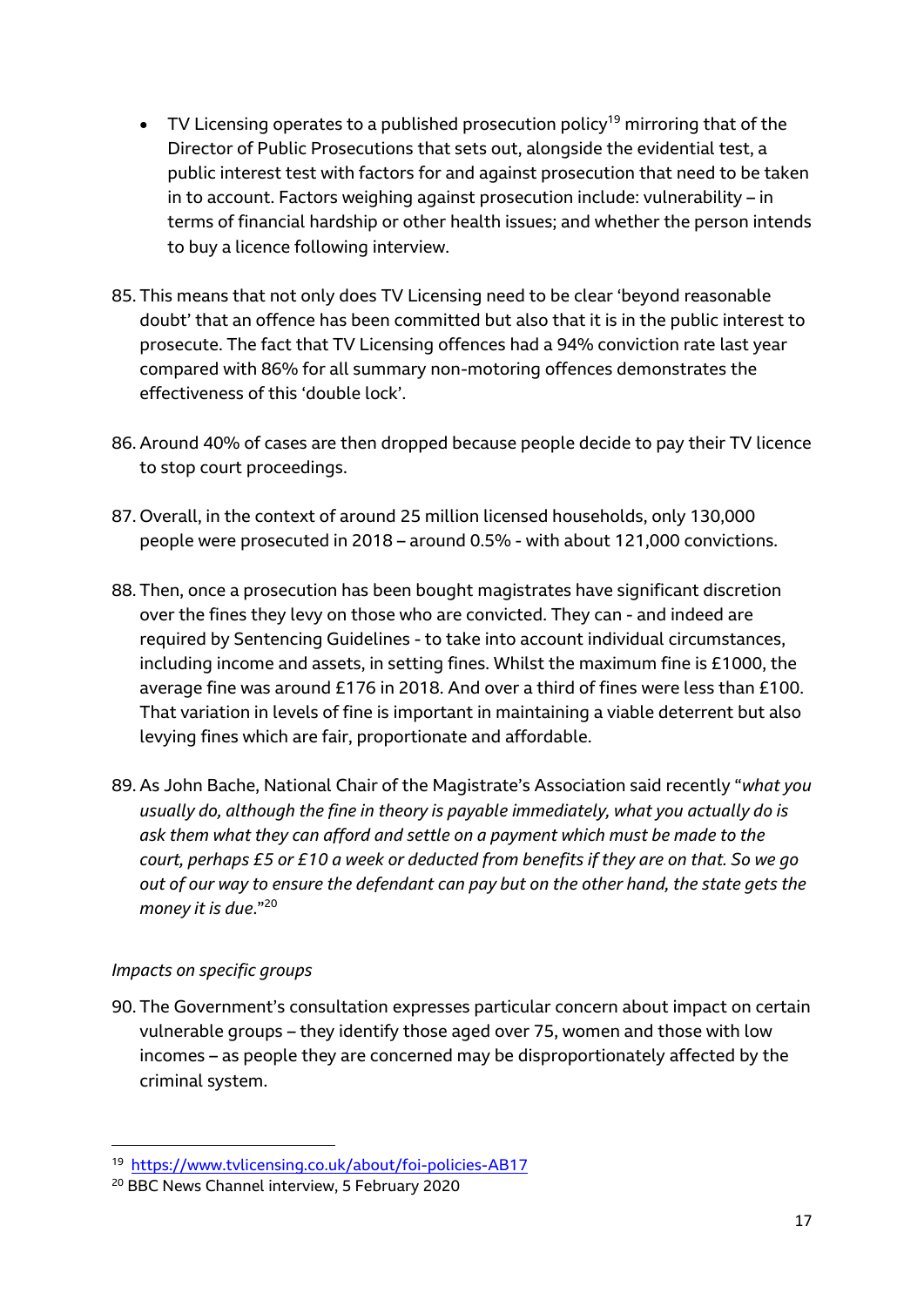- TV Licensing operates to a published prosecution policy<sup>19</sup> mirroring that of the Director of Public Prosecutions that sets out, alongside the evidential test, a public interest test with factors for and against prosecution that need to be taken in to account. Factors weighing against prosecution include: vulnerability – in terms of financial hardship or other health issues; and whether the person intends to buy a licence following interview.
- 85. This means that not only does TV Licensing need to be clear 'beyond reasonable doubt' that an offence has been committed but also that it is in the public interest to prosecute. The fact that TV Licensing offences had a 94% conviction rate last year compared with 86% for all summary non-motoring offences demonstrates the effectiveness of this 'double lock'.
- 86. Around 40% of cases are then dropped because people decide to pay their TV licence to stop court proceedings.
- 87. Overall, in the context of around 25 million licensed households, only 130,000 people were prosecuted in 2018 – around 0.5% - with about 121,000 convictions.
- 88. Then, once a prosecution has been bought magistrates have significant discretion over the fines they levy on those who are convicted. They can - and indeed are required by Sentencing Guidelines - to take into account individual circumstances, including income and assets, in setting fines. Whilst the maximum fine is £1000, the average fine was around £176 in 2018. And over a third of fines were less than £100. That variation in levels of fine is important in maintaining a viable deterrent but also levying fines which are fair, proportionate and affordable.
- 89. As John Bache, National Chair of the Magistrate's Association said recently "*what you usually do, although the fine in theory is payable immediately, what you actually do is ask them what they can afford and settle on a payment which must be made to the court, perhaps £5 or £10 a week or deducted from benefits if they are on that. So we go out of our way to ensure the defendant can pay but on the other hand, the state gets the money it is due*."<sup>20</sup>

# *Impacts on specific groups*

**.** 

90. The Government's consultation expresses particular concern about impact on certain vulnerable groups – they identify those aged over 75, women and those with low incomes – as people they are concerned may be disproportionately affected by the criminal system.

<sup>19</sup> <https://www.tvlicensing.co.uk/about/foi-policies-AB17>

<sup>20</sup> BBC News Channel interview, 5 February 2020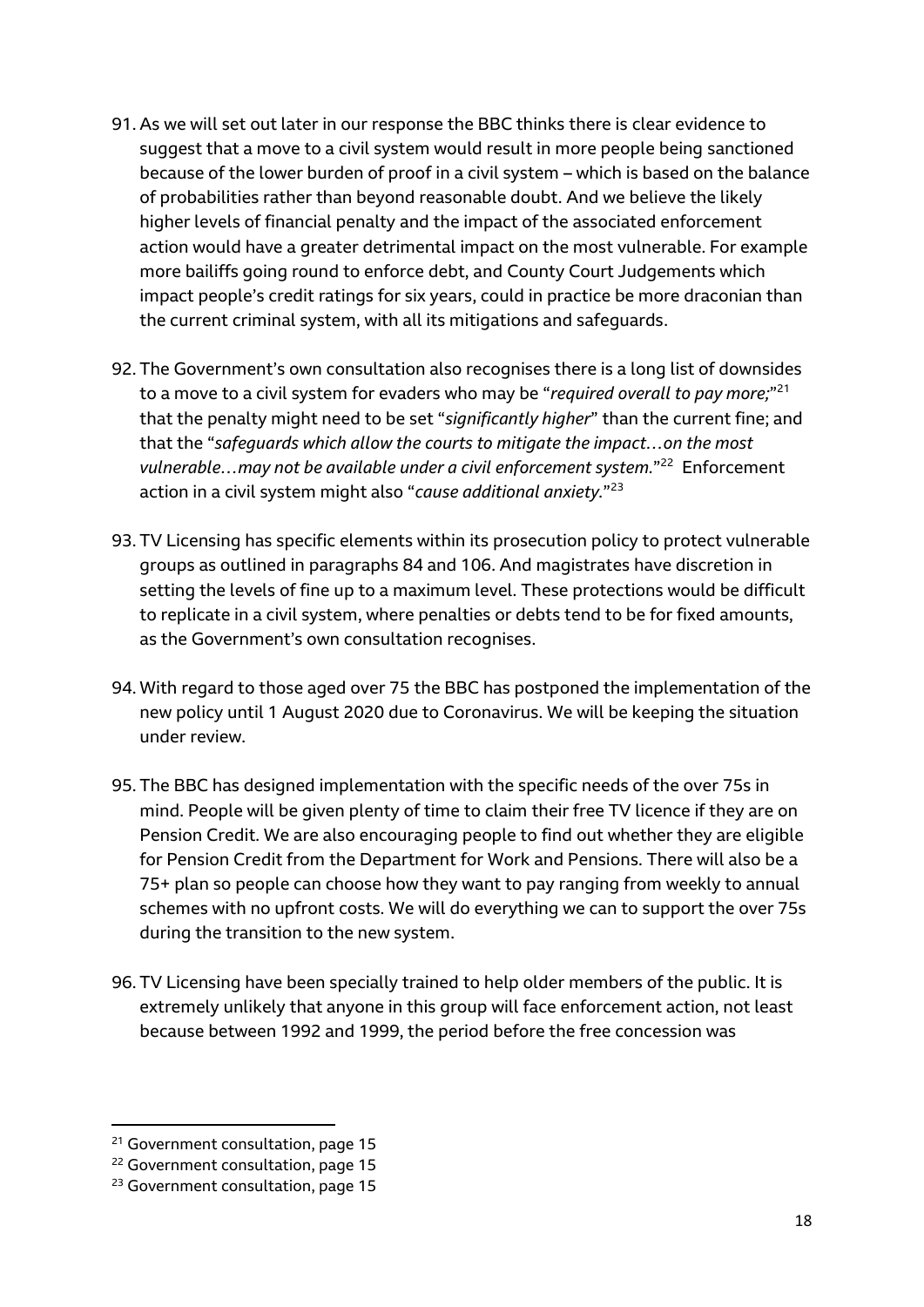- 91. As we will set out later in our response the BBC thinks there is clear evidence to suggest that a move to a civil system would result in more people being sanctioned because of the lower burden of proof in a civil system – which is based on the balance of probabilities rather than beyond reasonable doubt. And we believe the likely higher levels of financial penalty and the impact of the associated enforcement action would have a greater detrimental impact on the most vulnerable. For example more bailiffs going round to enforce debt, and County Court Judgements which impact people's credit ratings for six years, could in practice be more draconian than the current criminal system, with all its mitigations and safeguards.
- 92. The Government's own consultation also recognises there is a long list of downsides to a move to a civil system for evaders who may be "*required overall to pay more;*" 21 that the penalty might need to be set "*significantly higher*" than the current fine; and that the "*safeguards which allow the courts to mitigate the impact…on the most*  vulnerable...may not be available under a civil enforcement system."<sup>22</sup> Enforcement action in a civil system might also "*cause additional anxiety.*" 23
- 93. TV Licensing has specific elements within its prosecution policy to protect vulnerable groups as outlined in paragraphs 84 and 106. And magistrates have discretion in setting the levels of fine up to a maximum level. These protections would be difficult to replicate in a civil system, where penalties or debts tend to be for fixed amounts, as the Government's own consultation recognises.
- 94. With regard to those aged over 75 the BBC has postponed the implementation of the new policy until 1 August 2020 due to Coronavirus. We will be keeping the situation under review.
- 95. The BBC has designed implementation with the specific needs of the over 75s in mind. People will be given plenty of time to claim their free TV licence if they are on Pension Credit. We are also encouraging people to find out whether they are eligible for Pension Credit from the Department for Work and Pensions. There will also be a 75+ plan so people can choose how they want to pay ranging from weekly to annual schemes with no upfront costs. We will do everything we can to support the over 75s during the transition to the new system.
- 96. TV Licensing have been specially trained to help older members of the public. It is extremely unlikely that anyone in this group will face enforcement action, not least because between 1992 and 1999, the period before the free concession was

<sup>&</sup>lt;sup>21</sup> Government consultation, page 15

<sup>22</sup> Government consultation, page 15

<sup>&</sup>lt;sup>23</sup> Government consultation, page 15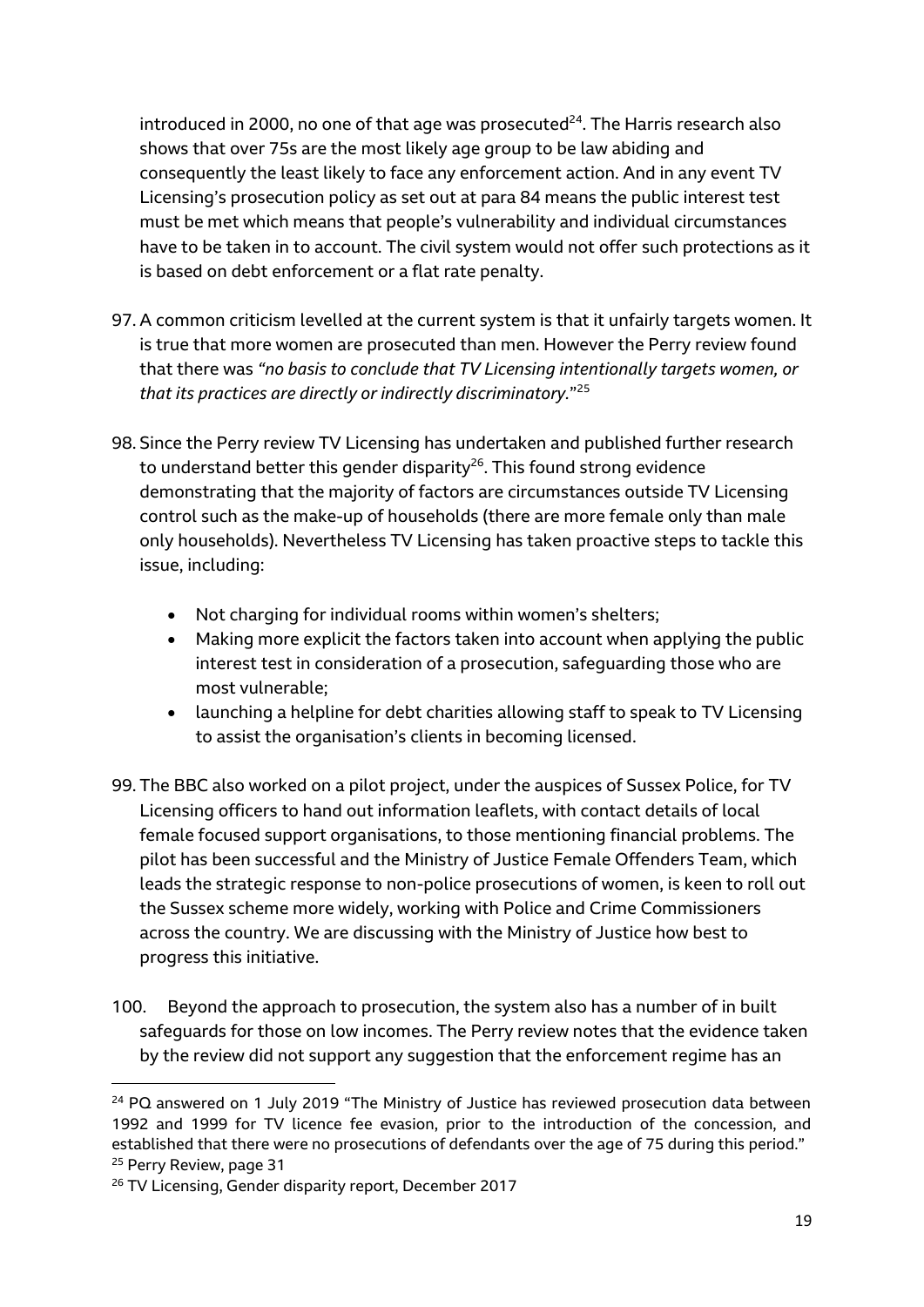introduced in 2000, no one of that age was prosecuted $^{24}$ . The Harris research also shows that over 75s are the most likely age group to be law abiding and consequently the least likely to face any enforcement action. And in any event TV Licensing's prosecution policy as set out at para 84 means the public interest test must be met which means that people's vulnerability and individual circumstances have to be taken in to account. The civil system would not offer such protections as it is based on debt enforcement or a flat rate penalty.

- 97. A common criticism levelled at the current system is that it unfairly targets women. It is true that more women are prosecuted than men. However the Perry review found that there was *"no basis to conclude that TV Licensing intentionally targets women, or that its practices are directly or indirectly discriminatory.*" 25
- 98. Since the Perry review TV Licensing has undertaken and published further research to understand better this gender disparity $^{26}$ . This found strong evidence demonstrating that the majority of factors are circumstances outside TV Licensing control such as the make-up of households (there are more female only than male only households). Nevertheless TV Licensing has taken proactive steps to tackle this issue, including:
	- Not charging for individual rooms within women's shelters;
	- Making more explicit the factors taken into account when applying the public interest test in consideration of a prosecution, safeguarding those who are most vulnerable;
	- launching a helpline for debt charities allowing staff to speak to TV Licensing to assist the organisation's clients in becoming licensed.
- 99. The BBC also worked on a pilot project, under the auspices of Sussex Police, for TV Licensing officers to hand out information leaflets, with contact details of local female focused support organisations, to those mentioning financial problems. The pilot has been successful and the Ministry of Justice Female Offenders Team, which leads the strategic response to non-police prosecutions of women, is keen to roll out the Sussex scheme more widely, working with Police and Crime Commissioners across the country. We are discussing with the Ministry of Justice how best to progress this initiative.
- 100. Beyond the approach to prosecution, the system also has a number of in built safeguards for those on low incomes. The Perry review notes that the evidence taken by the review did not support any suggestion that the enforcement regime has an

<sup>&</sup>lt;sup>24</sup> PQ answered on 1 July 2019 "The Ministry of Justice has reviewed prosecution data between 1992 and 1999 for TV licence fee evasion, prior to the introduction of the concession, and established that there were no prosecutions of defendants over the age of 75 during this period." <sup>25</sup> Perry Review, page 31

<sup>&</sup>lt;sup>26</sup> TV Licensing, Gender disparity report, December 2017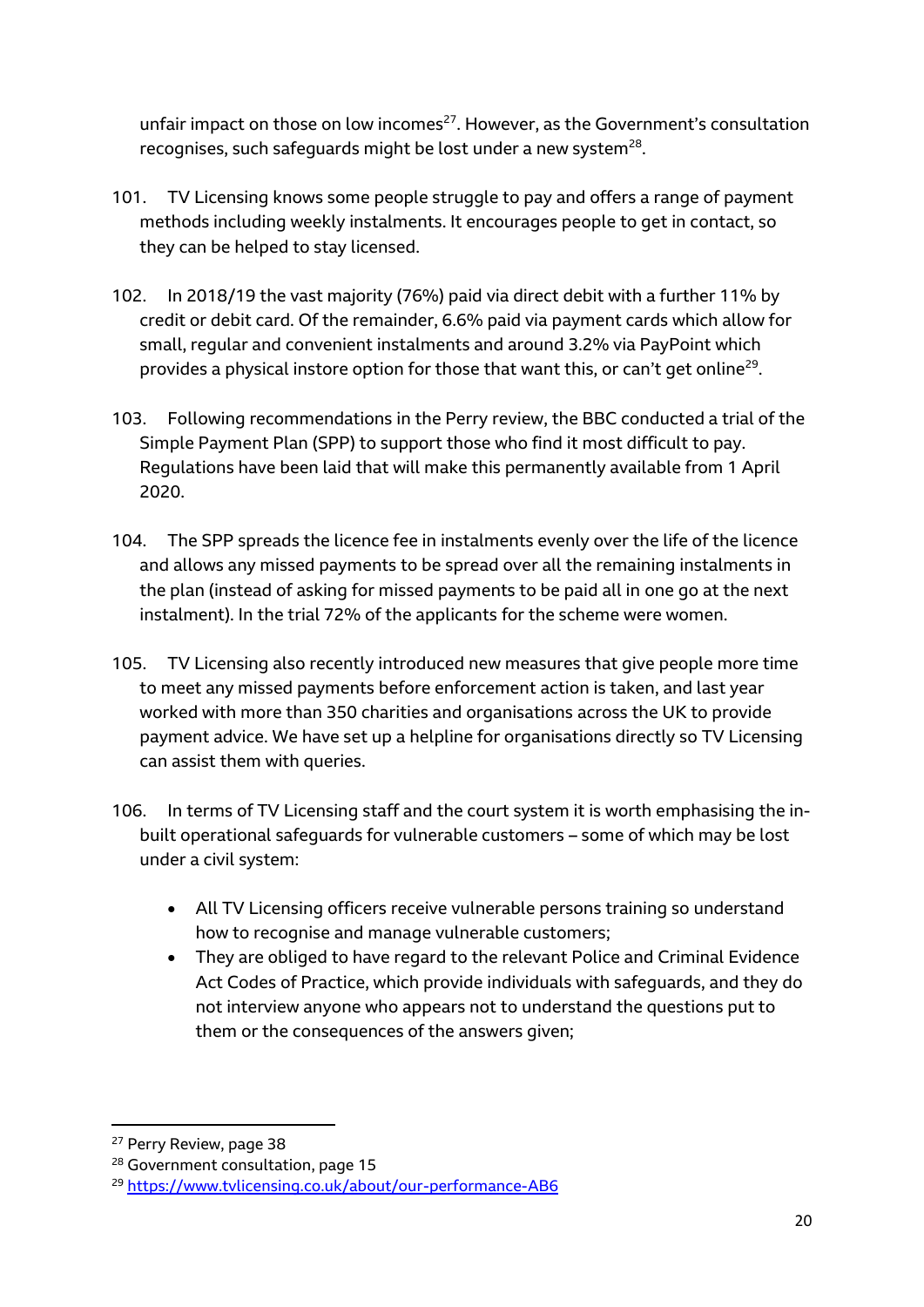unfair impact on those on low incomes<sup>27</sup>. However, as the Government's consultation recognises, such safeguards might be lost under a new system $^{28}$ .

- 101. TV Licensing knows some people struggle to pay and offers a range of payment methods including weekly instalments. It encourages people to get in contact, so they can be helped to stay licensed.
- 102. In 2018/19 the vast majority (76%) paid via direct debit with a further 11% by credit or debit card. Of the remainder, 6.6% paid via payment cards which allow for small, regular and convenient instalments and around 3.2% via PayPoint which provides a physical instore option for those that want this, or can't get online<sup>29</sup>.
- 103. Following recommendations in the Perry review, the BBC conducted a trial of the Simple Payment Plan (SPP) to support those who find it most difficult to pay. Regulations have been laid that will make this permanently available from 1 April 2020.
- 104. The SPP spreads the licence fee in instalments evenly over the life of the licence and allows any missed payments to be spread over all the remaining instalments in the plan (instead of asking for missed payments to be paid all in one go at the next instalment). In the trial 72% of the applicants for the scheme were women.
- 105. TV Licensing also recently introduced new measures that give people more time to meet any missed payments before enforcement action is taken, and last year worked with more than 350 charities and organisations across the UK to provide payment advice. We have set up a helpline for organisations directly so TV Licensing can assist them with queries.
- 106. In terms of TV Licensing staff and the court system it is worth emphasising the inbuilt operational safeguards for vulnerable customers – some of which may be lost under a civil system:
	- All TV Licensing officers receive vulnerable persons training so understand how to recognise and manage vulnerable customers;
	- They are obliged to have regard to the relevant Police and Criminal Evidence Act Codes of Practice, which provide individuals with safeguards, and they do not interview anyone who appears not to understand the questions put to them or the consequences of the answers given;

<sup>&</sup>lt;sup>27</sup> Perry Review, page 38

<sup>&</sup>lt;sup>28</sup> Government consultation, page 15

<sup>29</sup> <https://www.tvlicensing.co.uk/about/our-performance-AB6>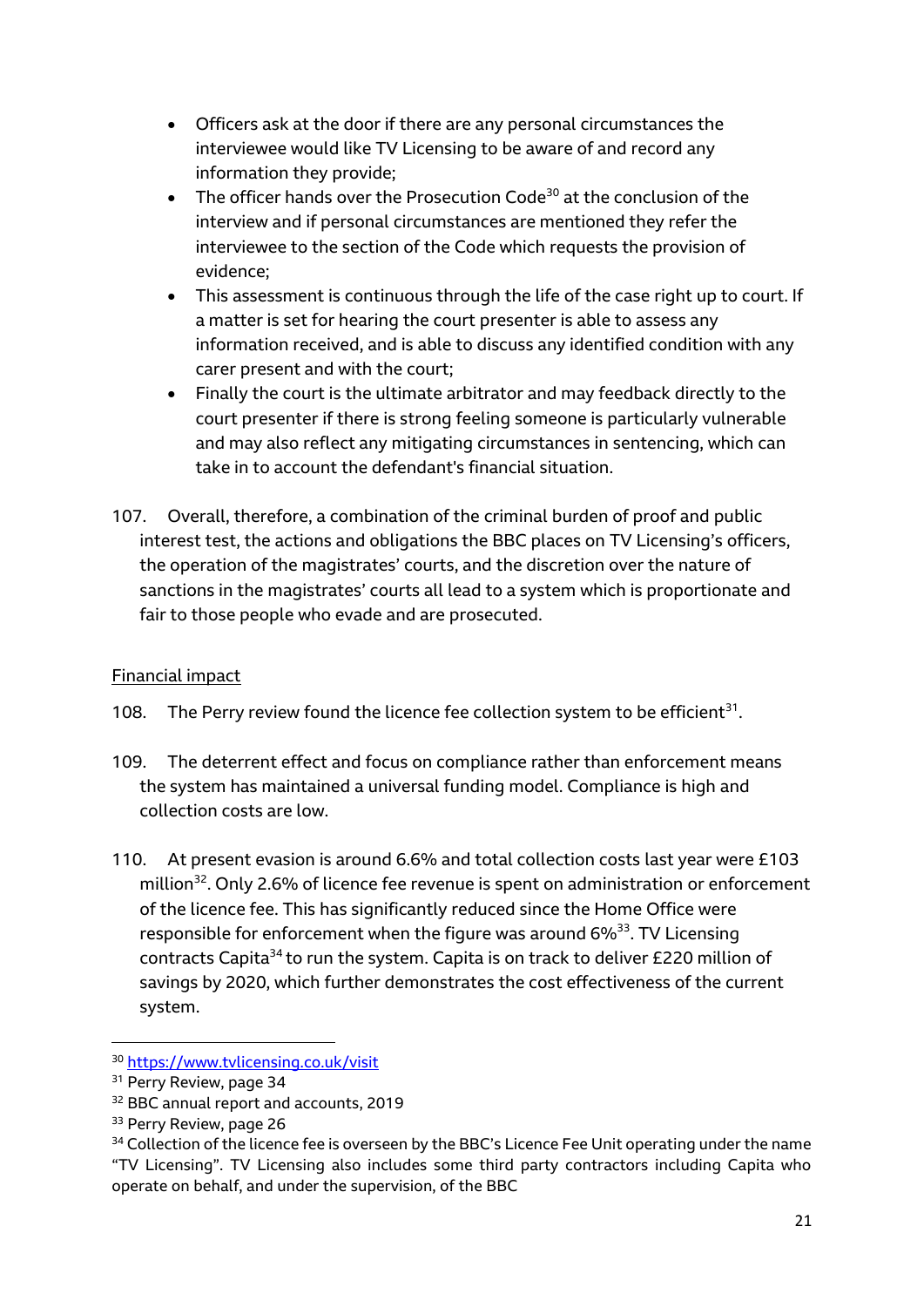- Officers ask at the door if there are any personal circumstances the interviewee would like TV Licensing to be aware of and record any information they provide;
- The officer hands over the Prosecution Code<sup>30</sup> at the conclusion of the interview and if personal circumstances are mentioned they refer the interviewee to the section of the Code which requests the provision of evidence;
- This assessment is continuous through the life of the case right up to court. If a matter is set for hearing the court presenter is able to assess any information received, and is able to discuss any identified condition with any carer present and with the court;
- Finally the court is the ultimate arbitrator and may feedback directly to the court presenter if there is strong feeling someone is particularly vulnerable and may also reflect any mitigating circumstances in sentencing, which can take in to account the defendant's financial situation.
- 107. Overall, therefore, a combination of the criminal burden of proof and public interest test, the actions and obligations the BBC places on TV Licensing's officers, the operation of the magistrates' courts, and the discretion over the nature of sanctions in the magistrates' courts all lead to a system which is proportionate and fair to those people who evade and are prosecuted.

# Financial impact

108. The Perry review found the licence fee collection system to be efficient<sup>31</sup>.

- 109. The deterrent effect and focus on compliance rather than enforcement means the system has maintained a universal funding model. Compliance is high and collection costs are low.
- 110. At present evasion is around 6.6% and total collection costs last year were £103 million<sup>32</sup>. Only 2.6% of licence fee revenue is spent on administration or enforcement of the licence fee. This has significantly reduced since the Home Office were responsible for enforcement when the figure was around  $6\%^{33}$ . TV Licensing contracts Capita<sup>34</sup> to run the system. Capita is on track to deliver £220 million of savings by 2020, which further demonstrates the cost effectiveness of the current system.

<sup>30</sup> <https://www.tvlicensing.co.uk/visit>

<sup>&</sup>lt;sup>31</sup> Perry Review, page 34

<sup>32</sup> BBC annual report and accounts, 2019

<sup>&</sup>lt;sup>33</sup> Perry Review, page 26

<sup>&</sup>lt;sup>34</sup> Collection of the licence fee is overseen by the BBC's Licence Fee Unit operating under the name "TV Licensing". TV Licensing also includes some third party contractors including Capita who operate on behalf, and under the supervision, of the BBC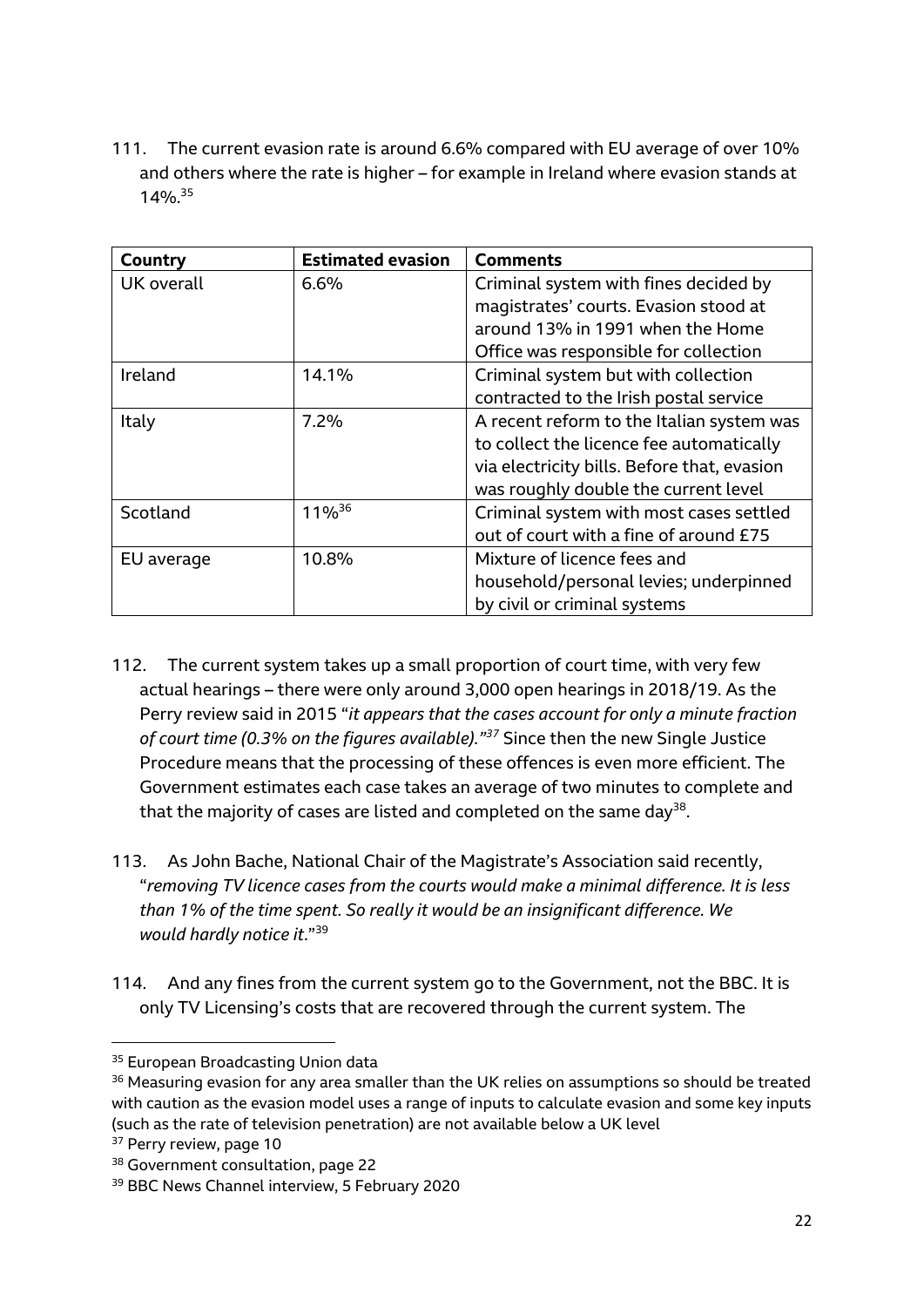111. The current evasion rate is around 6.6% compared with EU average of over 10% and others where the rate is higher – for example in Ireland where evasion stands at 14%. 35

| Country    | <b>Estimated evasion</b> | <b>Comments</b>                             |
|------------|--------------------------|---------------------------------------------|
| UK overall | 6.6%                     | Criminal system with fines decided by       |
|            |                          | magistrates' courts. Evasion stood at       |
|            |                          | around 13% in 1991 when the Home            |
|            |                          | Office was responsible for collection       |
| Ireland    | 14.1%                    | Criminal system but with collection         |
|            |                          | contracted to the Irish postal service      |
| Italy      | 7.2%                     | A recent reform to the Italian system was   |
|            |                          | to collect the licence fee automatically    |
|            |                          | via electricity bills. Before that, evasion |
|            |                          | was roughly double the current level        |
| Scotland   | 11%36                    | Criminal system with most cases settled     |
|            |                          | out of court with a fine of around £75      |
| EU average | 10.8%                    | Mixture of licence fees and                 |
|            |                          | household/personal levies; underpinned      |
|            |                          | by civil or criminal systems                |

- 112. The current system takes up a small proportion of court time, with very few actual hearings – there were only around 3,000 open hearings in 2018/19. As the Perry review said in 2015 "*it appears that the cases account for only a minute fraction of court time (0.3% on the figures available)." <sup>37</sup>* Since then the new Single Justice Procedure means that the processing of these offences is even more efficient. The Government estimates each case takes an average of two minutes to complete and that the majority of cases are listed and completed on the same day $^{38}$ .
- 113. As John Bache, National Chair of the Magistrate's Association said recently, "*removing TV licence cases from the courts would make a minimal difference. It is less than 1% of the time spent. So really it would be an insignificant difference. We would hardly notice it*." 39
- 114. And any fines from the current system go to the Government, not the BBC. It is only TV Licensing's costs that are recovered through the current system. The

<sup>&</sup>lt;sup>35</sup> European Broadcasting Union data

<sup>&</sup>lt;sup>36</sup> Measuring evasion for any area smaller than the UK relies on assumptions so should be treated with caution as the evasion model uses a range of inputs to calculate evasion and some key inputs (such as the rate of television penetration) are not available below a UK level

<sup>&</sup>lt;sup>37</sup> Perry review, page 10

<sup>38</sup> Government consultation, page 22

<sup>39</sup> BBC News Channel interview, 5 February 2020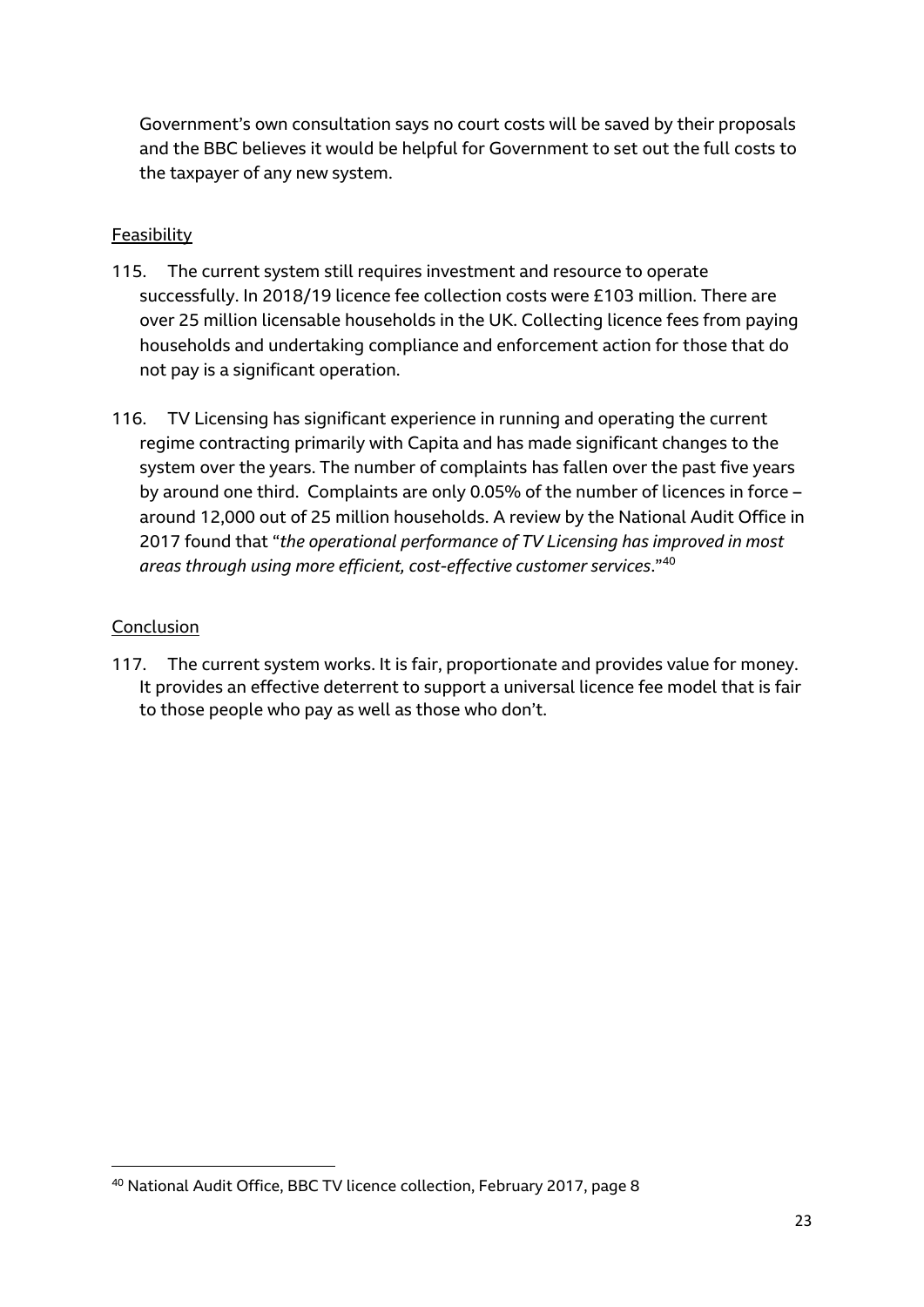Government's own consultation says no court costs will be saved by their proposals and the BBC believes it would be helpful for Government to set out the full costs to the taxpayer of any new system.

# Feasibility

- 115. The current system still requires investment and resource to operate successfully. In 2018/19 licence fee collection costs were £103 million. There are over 25 million licensable households in the UK. Collecting licence fees from paying households and undertaking compliance and enforcement action for those that do not pay is a significant operation.
- 116. TV Licensing has significant experience in running and operating the current regime contracting primarily with Capita and has made significant changes to the system over the years. The number of complaints has fallen over the past five years by around one third. Complaints are only 0.05% of the number of licences in force – around 12,000 out of 25 million households. A review by the National Audit Office in 2017 found that "*the operational performance of TV Licensing has improved in most areas through using more efficient, cost-effective customer services*."<sup>40</sup>

#### Conclusion

1

117. The current system works. It is fair, proportionate and provides value for money. It provides an effective deterrent to support a universal licence fee model that is fair to those people who pay as well as those who don't.

<sup>40</sup> National Audit Office, BBC TV licence collection, February 2017, page 8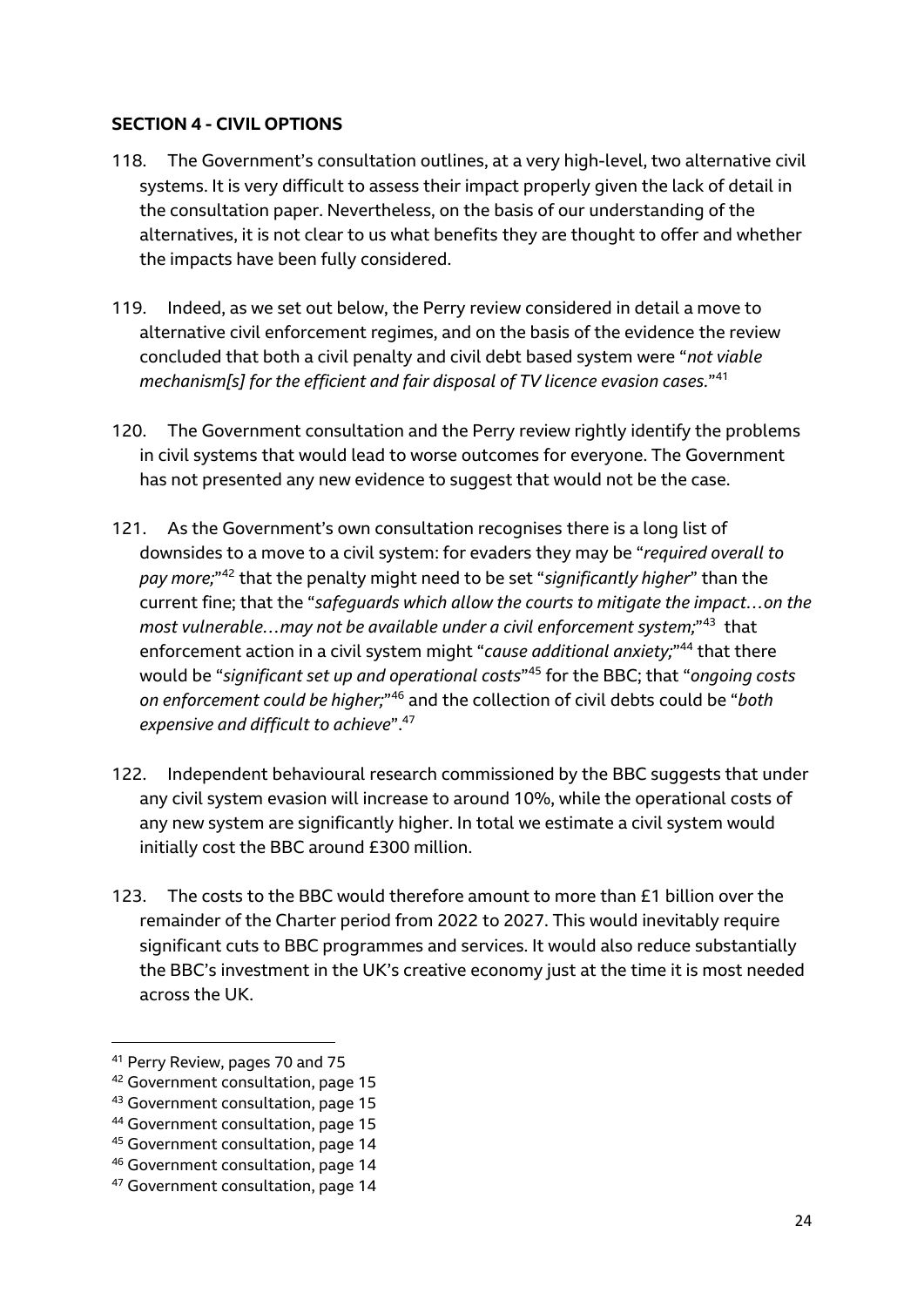#### **SECTION 4 - CIVIL OPTIONS**

- 118. The Government's consultation outlines, at a very high-level, two alternative civil systems. It is very difficult to assess their impact properly given the lack of detail in the consultation paper. Nevertheless, on the basis of our understanding of the alternatives, it is not clear to us what benefits they are thought to offer and whether the impacts have been fully considered.
- 119. Indeed, as we set out below, the Perry review considered in detail a move to alternative civil enforcement regimes, and on the basis of the evidence the review concluded that both a civil penalty and civil debt based system were "*not viable mechanism[s] for the efficient and fair disposal of TV licence evasion cases.*" 41
- 120. The Government consultation and the Perry review rightly identify the problems in civil systems that would lead to worse outcomes for everyone. The Government has not presented any new evidence to suggest that would not be the case.
- 121. As the Government's own consultation recognises there is a long list of downsides to a move to a civil system: for evaders they may be "*required overall to pay more;*" <sup>42</sup> that the penalty might need to be set "*significantly higher*" than the current fine; that the "*safeguards which allow the courts to mitigate the impact…on the*  most vulnerable...may not be available under a civil enforcement system;"<sup>43</sup> that enforcement action in a civil system might "cause additional anxiety;"<sup>44</sup> that there would be "*significant set up and operational costs*" <sup>45</sup> for the BBC; that "*ongoing costs on enforcement could be higher;*" <sup>46</sup> and the collection of civil debts could be "*both expensive and difficult to achieve*".<sup>47</sup>
- 122. Independent behavioural research commissioned by the BBC suggests that under any civil system evasion will increase to around 10%, while the operational costs of any new system are significantly higher. In total we estimate a civil system would initially cost the BBC around £300 million.
- 123. The costs to the BBC would therefore amount to more than £1 billion over the remainder of the Charter period from 2022 to 2027. This would inevitably require significant cuts to BBC programmes and services. It would also reduce substantially the BBC's investment in the UK's creative economy just at the time it is most needed across the UK.

<sup>41</sup> Perry Review, pages 70 and 75

<sup>42</sup> Government consultation, page 15

<sup>43</sup> Government consultation, page 15

<sup>44</sup> Government consultation, page 15

<sup>45</sup> Government consultation, page 14

<sup>46</sup> Government consultation, page 14

<sup>47</sup> Government consultation, page 14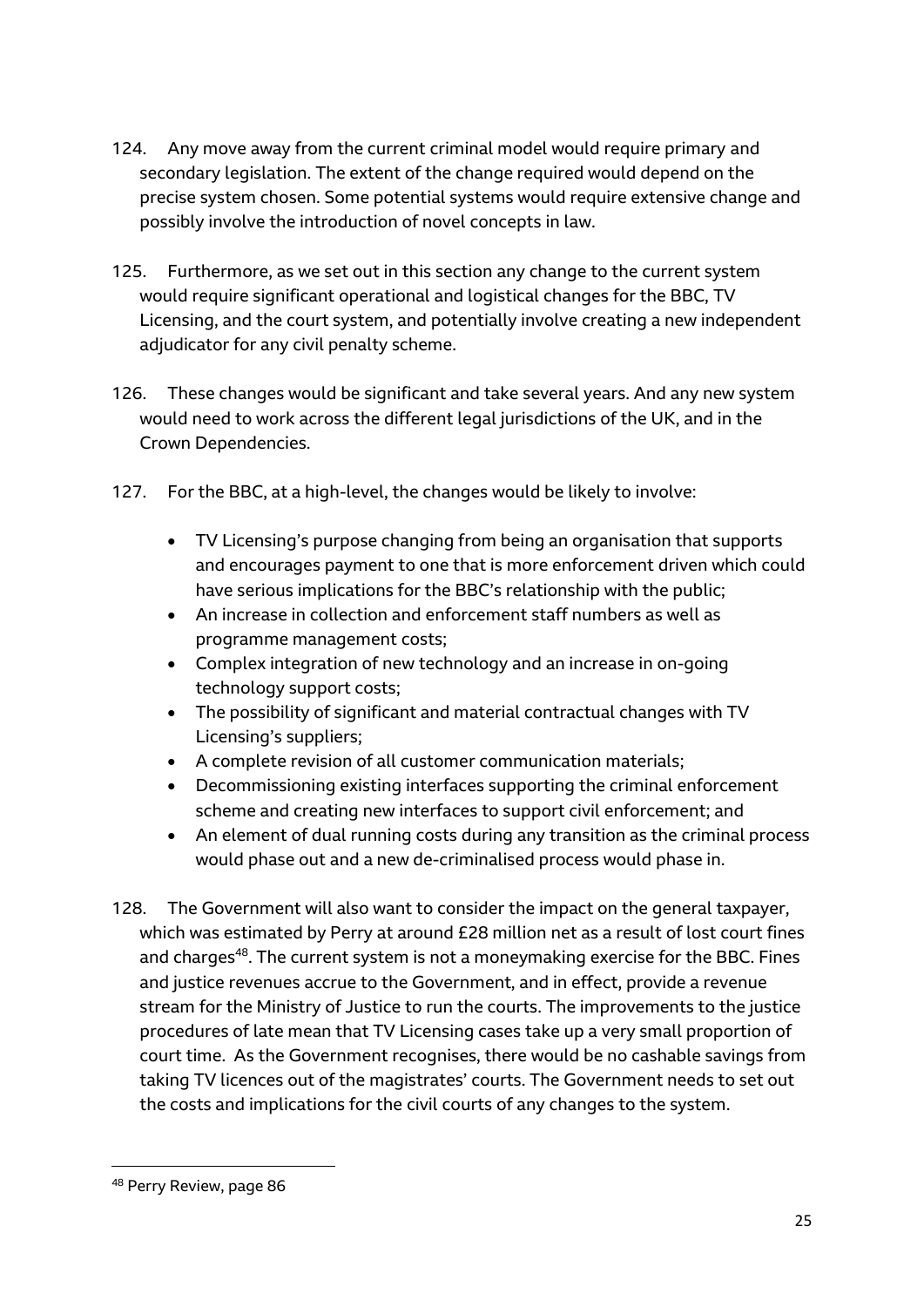- 124. Any move away from the current criminal model would require primary and secondary legislation. The extent of the change required would depend on the precise system chosen. Some potential systems would require extensive change and possibly involve the introduction of novel concepts in law.
- 125. Furthermore, as we set out in this section any change to the current system would require significant operational and logistical changes for the BBC, TV Licensing, and the court system, and potentially involve creating a new independent adjudicator for any civil penalty scheme.
- 126. These changes would be significant and take several years. And any new system would need to work across the different legal jurisdictions of the UK, and in the Crown Dependencies.
- 127. For the BBC, at a high-level, the changes would be likely to involve:
	- TV Licensing's purpose changing from being an organisation that supports and encourages payment to one that is more enforcement driven which could have serious implications for the BBC's relationship with the public;
	- An increase in collection and enforcement staff numbers as well as programme management costs;
	- Complex integration of new technology and an increase in on-going technology support costs;
	- The possibility of significant and material contractual changes with TV Licensing's suppliers;
	- A complete revision of all customer communication materials;
	- Decommissioning existing interfaces supporting the criminal enforcement scheme and creating new interfaces to support civil enforcement; and
	- An element of dual running costs during any transition as the criminal process would phase out and a new de-criminalised process would phase in.
- 128. The Government will also want to consider the impact on the general taxpayer, which was estimated by Perry at around £28 million net as a result of lost court fines and charges<sup>48</sup>. The current system is not a moneymaking exercise for the BBC. Fines and justice revenues accrue to the Government, and in effect, provide a revenue stream for the Ministry of Justice to run the courts. The improvements to the justice procedures of late mean that TV Licensing cases take up a very small proportion of court time. As the Government recognises, there would be no cashable savings from taking TV licences out of the magistrates' courts. The Government needs to set out the costs and implications for the civil courts of any changes to the system.

<sup>48</sup> Perry Review, page 86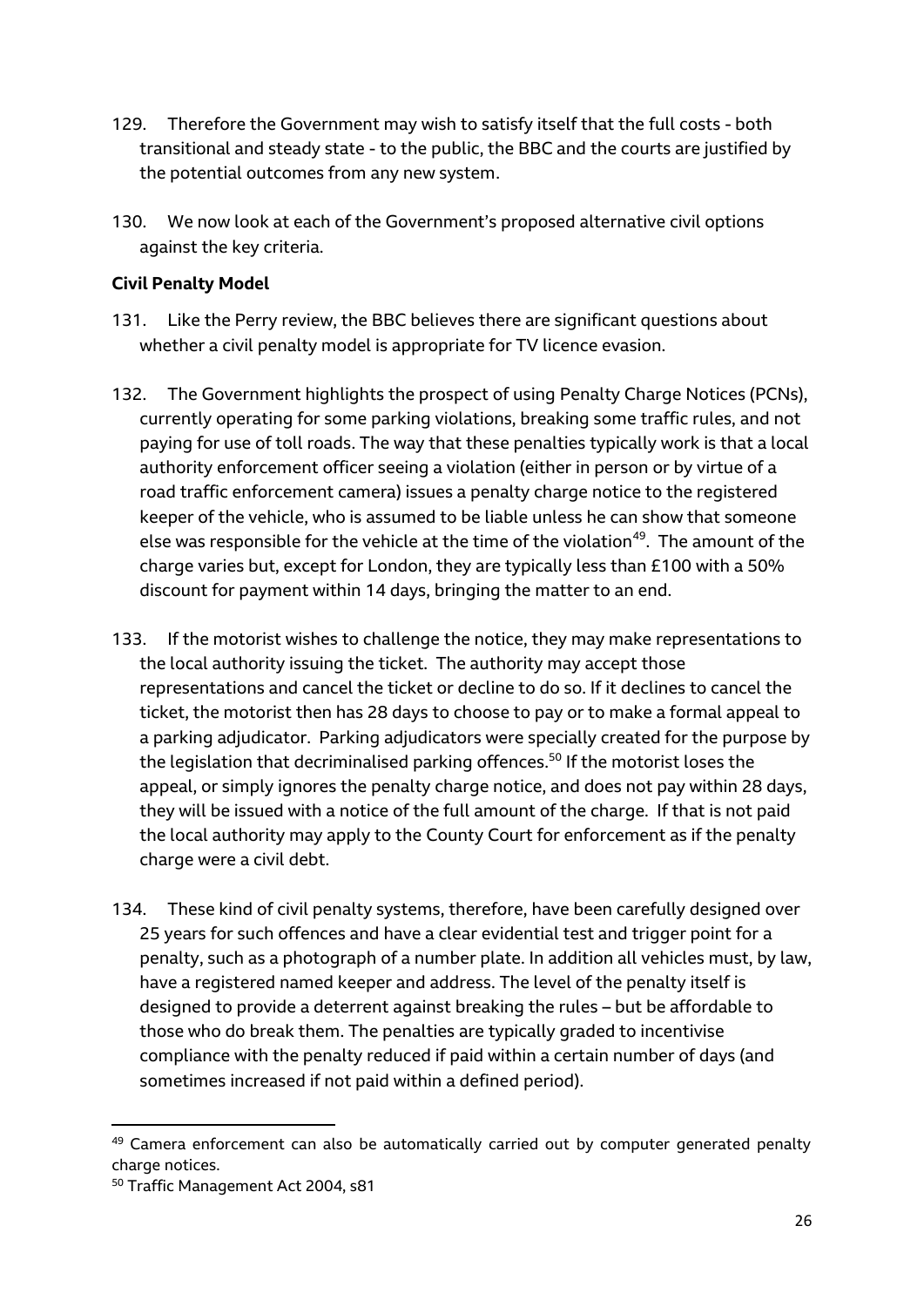- 129. Therefore the Government may wish to satisfy itself that the full costs both transitional and steady state - to the public, the BBC and the courts are justified by the potential outcomes from any new system.
- 130. We now look at each of the Government's proposed alternative civil options against the key criteria.

#### **Civil Penalty Model**

- 131. Like the Perry review, the BBC believes there are significant questions about whether a civil penalty model is appropriate for TV licence evasion.
- 132. The Government highlights the prospect of using Penalty Charge Notices (PCNs), currently operating for some parking violations, breaking some traffic rules, and not paying for use of toll roads. The way that these penalties typically work is that a local authority enforcement officer seeing a violation (either in person or by virtue of a road traffic enforcement camera) issues a penalty charge notice to the registered keeper of the vehicle, who is assumed to be liable unless he can show that someone else was responsible for the vehicle at the time of the violation<sup>49</sup>. The amount of the charge varies but, except for London, they are typically less than £100 with a 50% discount for payment within 14 days, bringing the matter to an end.
- 133. If the motorist wishes to challenge the notice, they may make representations to the local authority issuing the ticket. The authority may accept those representations and cancel the ticket or decline to do so. If it declines to cancel the ticket, the motorist then has 28 days to choose to pay or to make a formal appeal to a parking adjudicator. Parking adjudicators were specially created for the purpose by the legislation that decriminalised parking offences.<sup>50</sup> If the motorist loses the appeal, or simply ignores the penalty charge notice, and does not pay within 28 days, they will be issued with a notice of the full amount of the charge. If that is not paid the local authority may apply to the County Court for enforcement as if the penalty charge were a civil debt.
- 134. These kind of civil penalty systems, therefore, have been carefully designed over 25 years for such offences and have a clear evidential test and trigger point for a penalty, such as a photograph of a number plate. In addition all vehicles must, by law, have a registered named keeper and address. The level of the penalty itself is designed to provide a deterrent against breaking the rules – but be affordable to those who do break them. The penalties are typically graded to incentivise compliance with the penalty reduced if paid within a certain number of days (and sometimes increased if not paid within a defined period).

<sup>&</sup>lt;sup>49</sup> Camera enforcement can also be automatically carried out by computer generated penalty charge notices.

<sup>50</sup> Traffic Management Act 2004, s81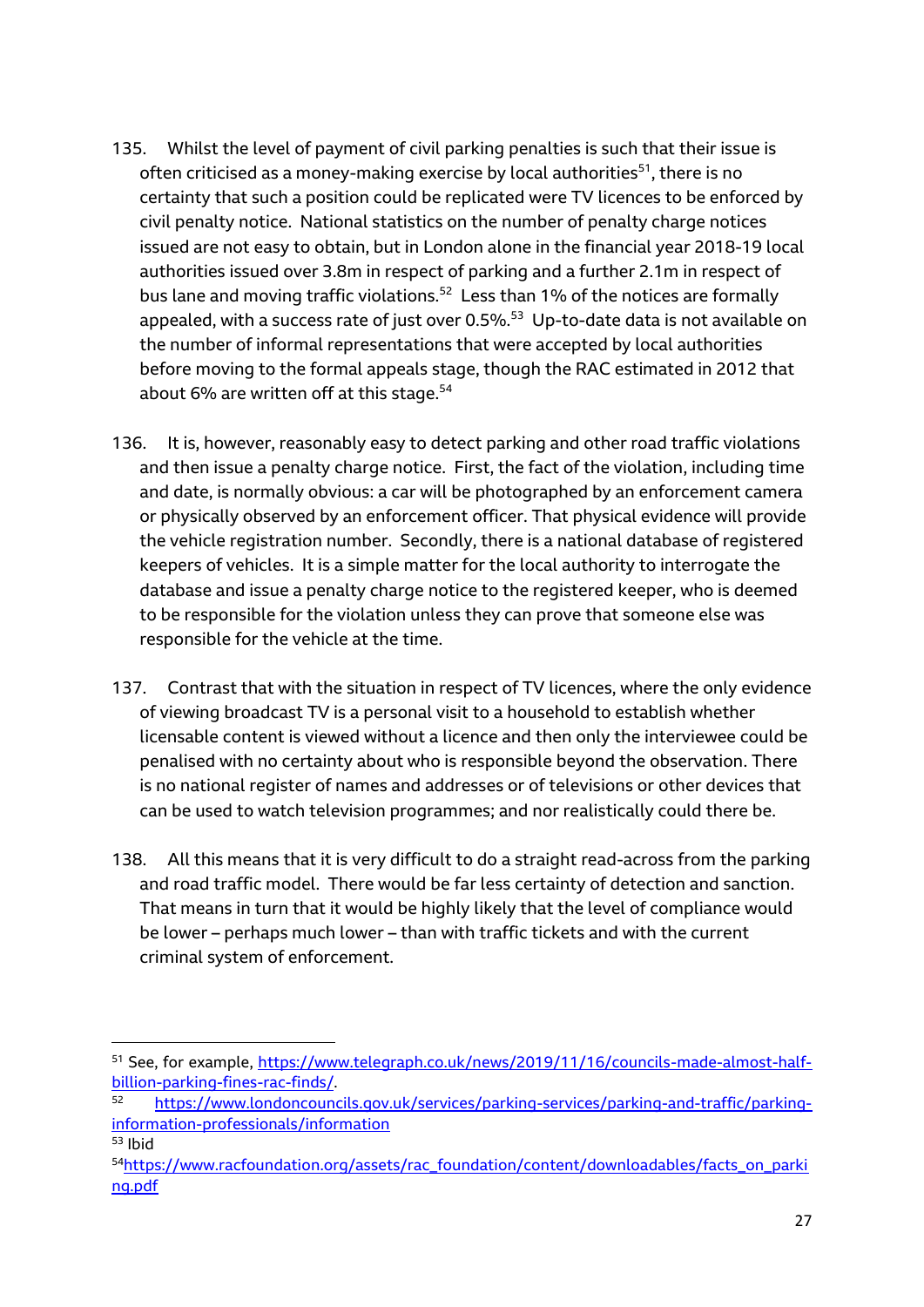- 135. Whilst the level of payment of civil parking penalties is such that their issue is often criticised as a money-making exercise by local authorities <sup>51</sup>, there is no certainty that such a position could be replicated were TV licences to be enforced by civil penalty notice. National statistics on the number of penalty charge notices issued are not easy to obtain, but in London alone in the financial year 2018-19 local authorities issued over 3.8m in respect of parking and a further 2.1m in respect of bus lane and moving traffic violations. $52$  Less than 1% of the notices are formally appealed, with a success rate of just over 0.5%. $^{53}$  Up-to-date data is not available on the number of informal representations that were accepted by local authorities before moving to the formal appeals stage, though the RAC estimated in 2012 that about 6% are written off at this stage.<sup>54</sup>
- 136. It is, however, reasonably easy to detect parking and other road traffic violations and then issue a penalty charge notice. First, the fact of the violation, including time and date, is normally obvious: a car will be photographed by an enforcement camera or physically observed by an enforcement officer. That physical evidence will provide the vehicle registration number. Secondly, there is a national database of registered keepers of vehicles. It is a simple matter for the local authority to interrogate the database and issue a penalty charge notice to the registered keeper, who is deemed to be responsible for the violation unless they can prove that someone else was responsible for the vehicle at the time.
- 137. Contrast that with the situation in respect of TV licences, where the only evidence of viewing broadcast TV is a personal visit to a household to establish whether licensable content is viewed without a licence and then only the interviewee could be penalised with no certainty about who is responsible beyond the observation. There is no national register of names and addresses or of televisions or other devices that can be used to watch television programmes; and nor realistically could there be.
- 138. All this means that it is very difficult to do a straight read-across from the parking and road traffic model. There would be far less certainty of detection and sanction. That means in turn that it would be highly likely that the level of compliance would be lower – perhaps much lower – than with traffic tickets and with the current criminal system of enforcement.

<sup>51</sup> See, for example, [https://www.telegraph.co.uk/news/2019/11/16/councils-made-almost-half](https://www.telegraph.co.uk/news/2019/11/16/councils-made-almost-half-billion-parking-fines-rac-finds/)[billion-parking-fines-rac-finds/.](https://www.telegraph.co.uk/news/2019/11/16/councils-made-almost-half-billion-parking-fines-rac-finds/)

[https://www.londoncouncils.gov.uk/services/parking-services/parking-and-traffic/parking](https://www.londoncouncils.gov.uk/services/parking-services/parking-and-traffic/parking-information-professionals/information)[information-professionals/information](https://www.londoncouncils.gov.uk/services/parking-services/parking-and-traffic/parking-information-professionals/information) <sup>53</sup> Ibid

<sup>54</sup>[https://www.racfoundation.org/assets/rac\\_foundation/content/downloadables/facts\\_on\\_parki](https://www.racfoundation.org/assets/rac_foundation/content/downloadables/facts_on_parking.pdf) [ng.pdf](https://www.racfoundation.org/assets/rac_foundation/content/downloadables/facts_on_parking.pdf)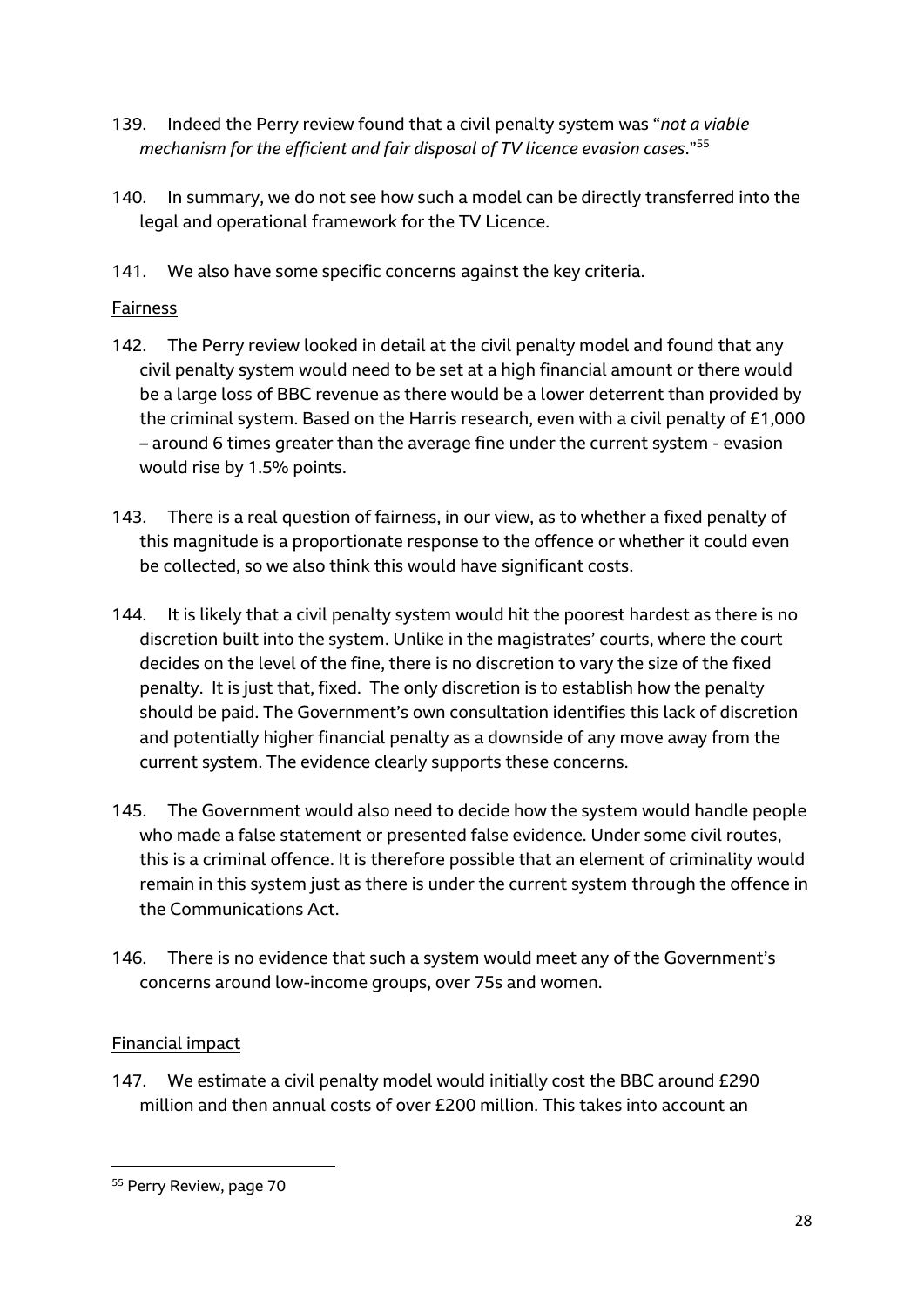- 139. Indeed the Perry review found that a civil penalty system was "*not a viable mechanism for the efficient and fair disposal of TV licence evasion cases*."<sup>55</sup>
- 140. In summary, we do not see how such a model can be directly transferred into the legal and operational framework for the TV Licence.
- 141. We also have some specific concerns against the key criteria.

# Fairness

- 142. The Perry review looked in detail at the civil penalty model and found that any civil penalty system would need to be set at a high financial amount or there would be a large loss of BBC revenue as there would be a lower deterrent than provided by the criminal system. Based on the Harris research, even with a civil penalty of £1,000 – around 6 times greater than the average fine under the current system - evasion would rise by 1.5% points.
- 143. There is a real question of fairness, in our view, as to whether a fixed penalty of this magnitude is a proportionate response to the offence or whether it could even be collected, so we also think this would have significant costs.
- 144. It is likely that a civil penalty system would hit the poorest hardest as there is no discretion built into the system. Unlike in the magistrates' courts, where the court decides on the level of the fine, there is no discretion to vary the size of the fixed penalty. It is just that, fixed. The only discretion is to establish how the penalty should be paid. The Government's own consultation identifies this lack of discretion and potentially higher financial penalty as a downside of any move away from the current system. The evidence clearly supports these concerns.
- 145. The Government would also need to decide how the system would handle people who made a false statement or presented false evidence. Under some civil routes, this is a criminal offence. It is therefore possible that an element of criminality would remain in this system just as there is under the current system through the offence in the Communications Act.
- 146. There is no evidence that such a system would meet any of the Government's concerns around low-income groups, over 75s and women.

# Financial impact

1

147. We estimate a civil penalty model would initially cost the BBC around £290 million and then annual costs of over £200 million. This takes into account an

<sup>55</sup> Perry Review, page 70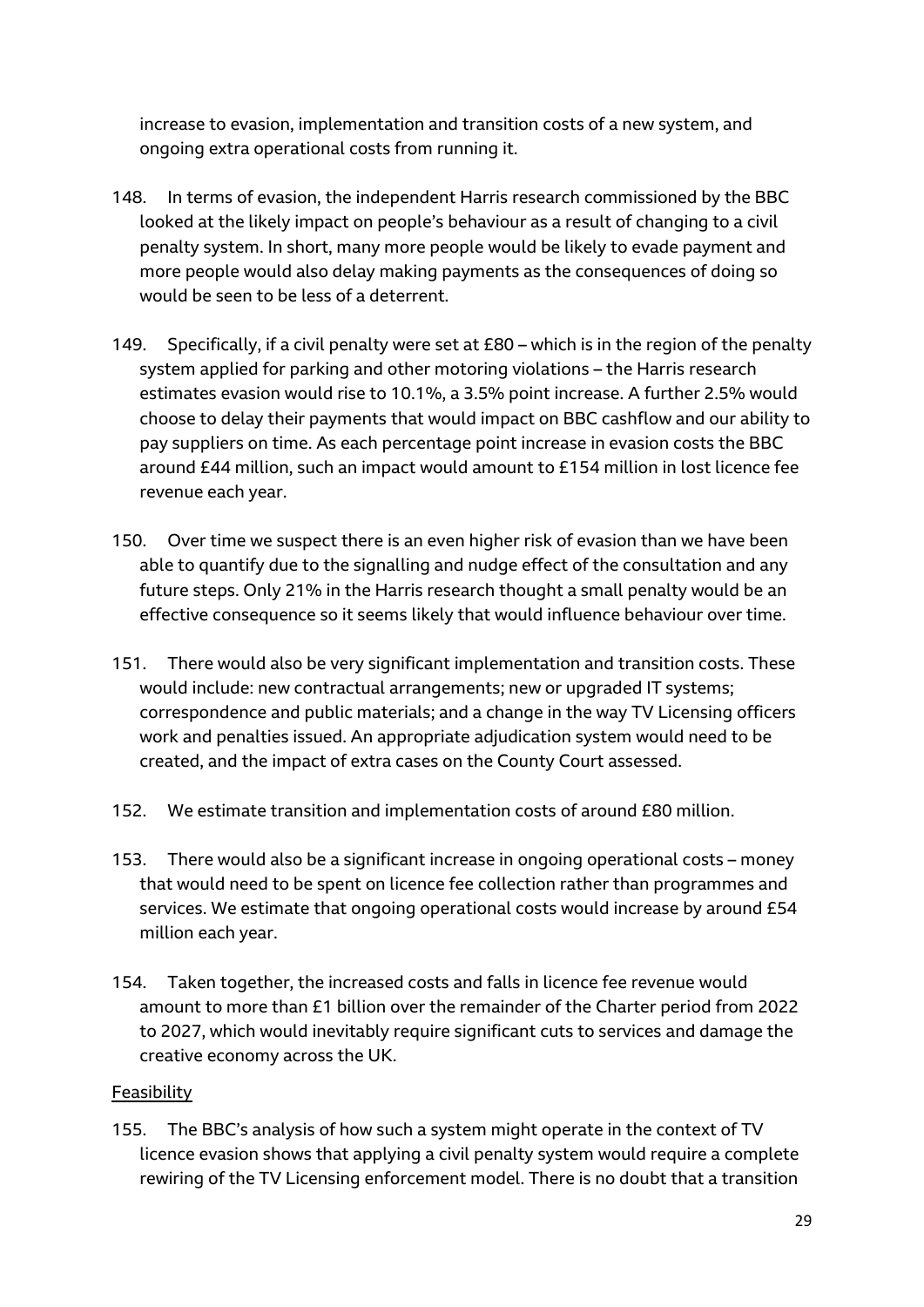increase to evasion, implementation and transition costs of a new system, and ongoing extra operational costs from running it.

- 148. In terms of evasion, the independent Harris research commissioned by the BBC looked at the likely impact on people's behaviour as a result of changing to a civil penalty system. In short, many more people would be likely to evade payment and more people would also delay making payments as the consequences of doing so would be seen to be less of a deterrent.
- 149. Specifically, if a civil penalty were set at £80 which is in the region of the penalty system applied for parking and other motoring violations – the Harris research estimates evasion would rise to 10.1%, a 3.5% point increase. A further 2.5% would choose to delay their payments that would impact on BBC cashflow and our ability to pay suppliers on time. As each percentage point increase in evasion costs the BBC around £44 million, such an impact would amount to £154 million in lost licence fee revenue each year.
- 150. Over time we suspect there is an even higher risk of evasion than we have been able to quantify due to the signalling and nudge effect of the consultation and any future steps. Only 21% in the Harris research thought a small penalty would be an effective consequence so it seems likely that would influence behaviour over time.
- 151. There would also be very significant implementation and transition costs. These would include: new contractual arrangements; new or upgraded IT systems; correspondence and public materials; and a change in the way TV Licensing officers work and penalties issued. An appropriate adjudication system would need to be created, and the impact of extra cases on the County Court assessed.
- 152. We estimate transition and implementation costs of around £80 million.
- 153. There would also be a significant increase in ongoing operational costs money that would need to be spent on licence fee collection rather than programmes and services. We estimate that ongoing operational costs would increase by around £54 million each year.
- 154. Taken together, the increased costs and falls in licence fee revenue would amount to more than £1 billion over the remainder of the Charter period from 2022 to 2027, which would inevitably require significant cuts to services and damage the creative economy across the UK.

#### Feasibility

155. The BBC's analysis of how such a system might operate in the context of TV licence evasion shows that applying a civil penalty system would require a complete rewiring of the TV Licensing enforcement model. There is no doubt that a transition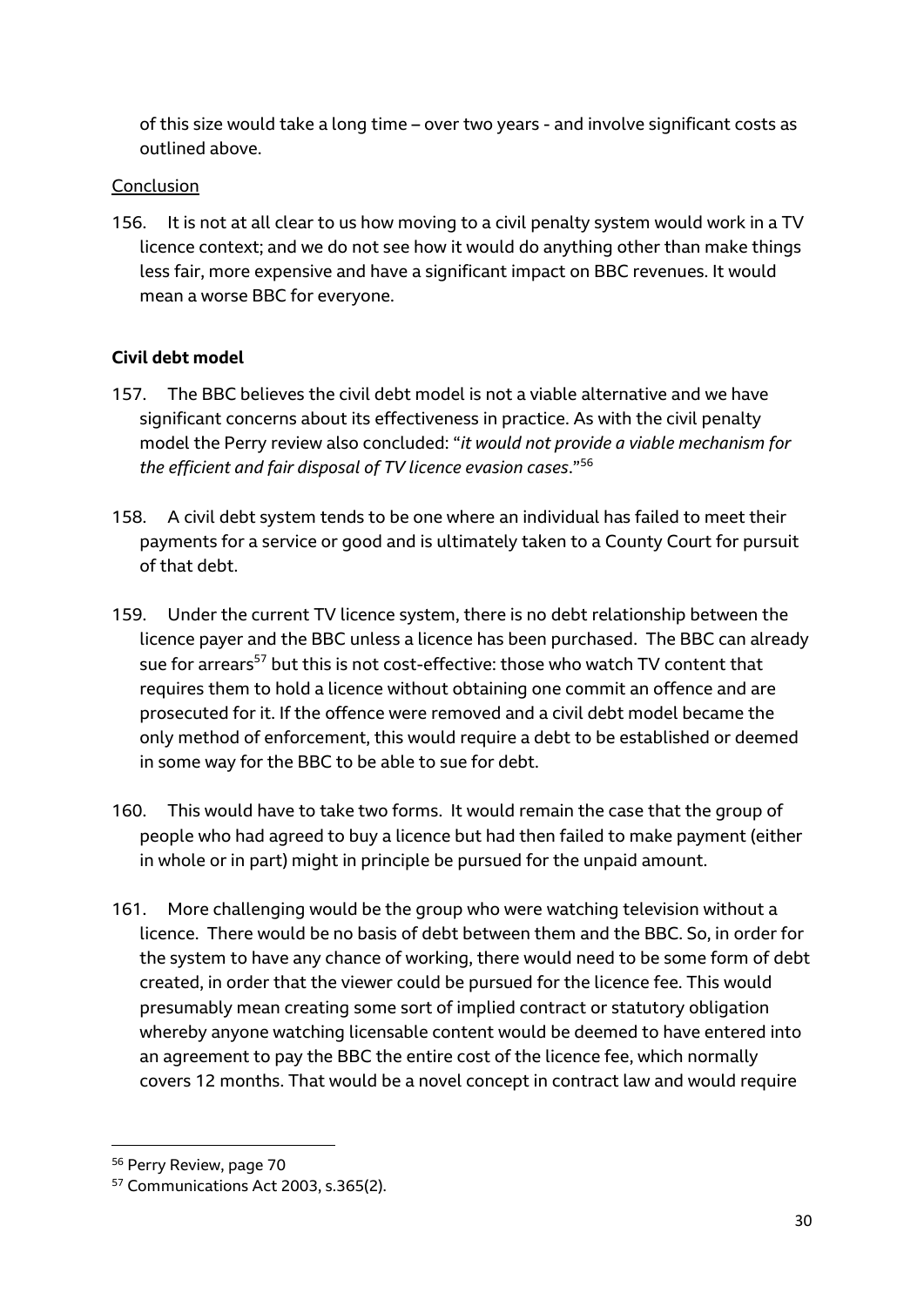of this size would take a long time – over two years - and involve significant costs as outlined above.

# Conclusion

156. It is not at all clear to us how moving to a civil penalty system would work in a TV licence context; and we do not see how it would do anything other than make things less fair, more expensive and have a significant impact on BBC revenues. It would mean a worse BBC for everyone.

# **Civil debt model**

- 157. The BBC believes the civil debt model is not a viable alternative and we have significant concerns about its effectiveness in practice. As with the civil penalty model the Perry review also concluded: "*it would not provide a viable mechanism for the efficient and fair disposal of TV licence evasion cases*."<sup>56</sup>
- 158. A civil debt system tends to be one where an individual has failed to meet their payments for a service or good and is ultimately taken to a County Court for pursuit of that debt.
- 159. Under the current TV licence system, there is no debt relationship between the licence payer and the BBC unless a licence has been purchased. The BBC can already sue for arrears<sup>57</sup> but this is not cost-effective: those who watch TV content that requires them to hold a licence without obtaining one commit an offence and are prosecuted for it. If the offence were removed and a civil debt model became the only method of enforcement, this would require a debt to be established or deemed in some way for the BBC to be able to sue for debt.
- 160. This would have to take two forms. It would remain the case that the group of people who had agreed to buy a licence but had then failed to make payment (either in whole or in part) might in principle be pursued for the unpaid amount.
- 161. More challenging would be the group who were watching television without a licence. There would be no basis of debt between them and the BBC. So, in order for the system to have any chance of working, there would need to be some form of debt created, in order that the viewer could be pursued for the licence fee. This would presumably mean creating some sort of implied contract or statutory obligation whereby anyone watching licensable content would be deemed to have entered into an agreement to pay the BBC the entire cost of the licence fee, which normally covers 12 months. That would be a novel concept in contract law and would require

<sup>56</sup> Perry Review, page 70

<sup>57</sup> Communications Act 2003, s.365(2).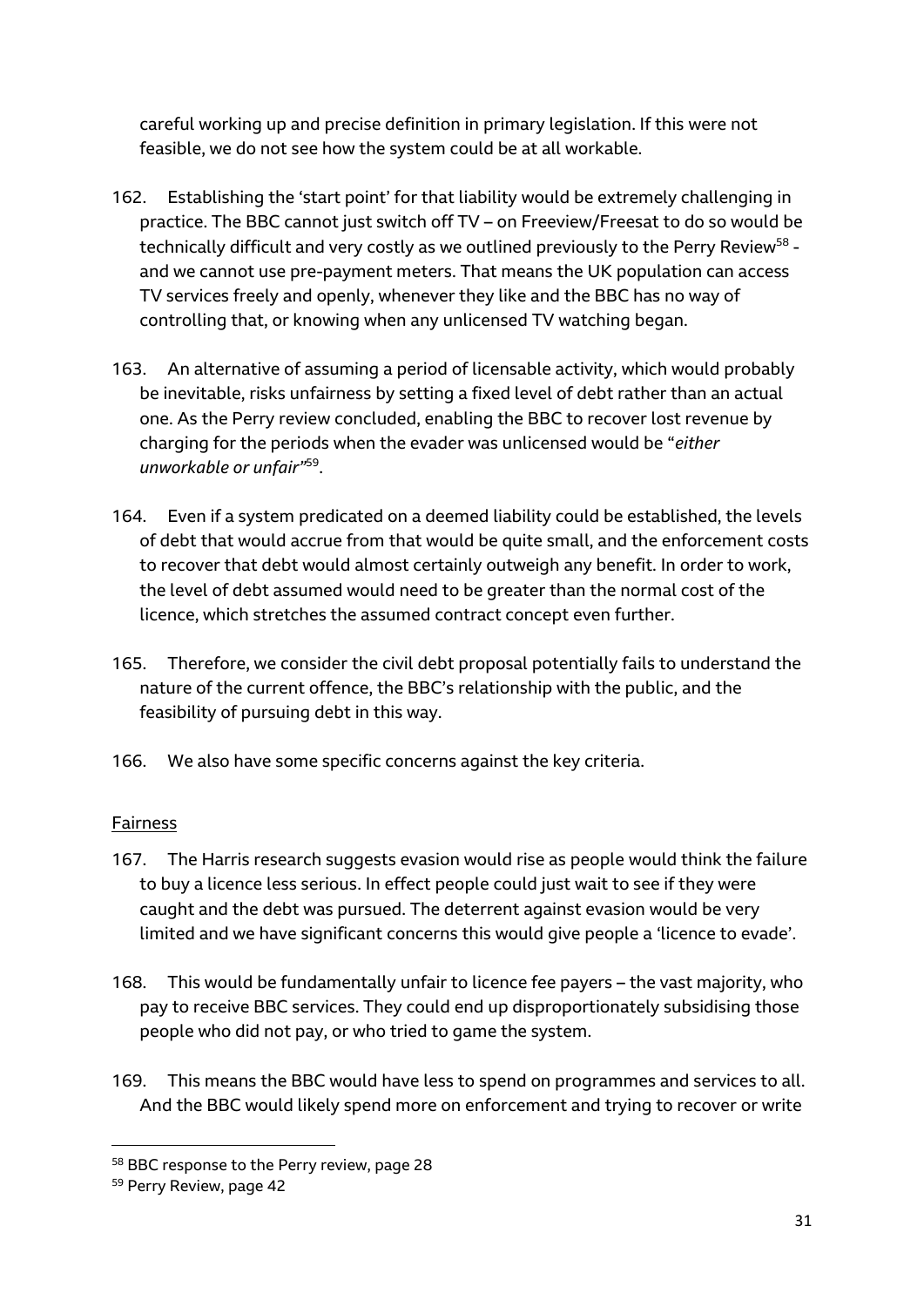careful working up and precise definition in primary legislation. If this were not feasible, we do not see how the system could be at all workable.

- 162. Establishing the 'start point' for that liability would be extremely challenging in practice. The BBC cannot just switch off TV – on Freeview/Freesat to do so would be technically difficult and very costly as we outlined previously to the Perry Review $^{58}$  and we cannot use pre-payment meters. That means the UK population can access TV services freely and openly, whenever they like and the BBC has no way of controlling that, or knowing when any unlicensed TV watching began.
- 163. An alternative of assuming a period of licensable activity, which would probably be inevitable, risks unfairness by setting a fixed level of debt rather than an actual one. As the Perry review concluded, enabling the BBC to recover lost revenue by charging for the periods when the evader was unlicensed would be "*either unworkable or unfair"*<sup>59</sup> .
- 164. Even if a system predicated on a deemed liability could be established, the levels of debt that would accrue from that would be quite small, and the enforcement costs to recover that debt would almost certainly outweigh any benefit. In order to work, the level of debt assumed would need to be greater than the normal cost of the licence, which stretches the assumed contract concept even further.
- 165. Therefore, we consider the civil debt proposal potentially fails to understand the nature of the current offence, the BBC's relationship with the public, and the feasibility of pursuing debt in this way.
- 166. We also have some specific concerns against the key criteria.

# Fairness

- 167. The Harris research suggests evasion would rise as people would think the failure to buy a licence less serious. In effect people could just wait to see if they were caught and the debt was pursued. The deterrent against evasion would be very limited and we have significant concerns this would give people a 'licence to evade'.
- 168. This would be fundamentally unfair to licence fee payers the vast majority, who pay to receive BBC services. They could end up disproportionately subsidising those people who did not pay, or who tried to game the system.
- 169. This means the BBC would have less to spend on programmes and services to all. And the BBC would likely spend more on enforcement and trying to recover or write

<sup>58</sup> BBC response to the Perry review, page 28

<sup>59</sup> Perry Review, page 42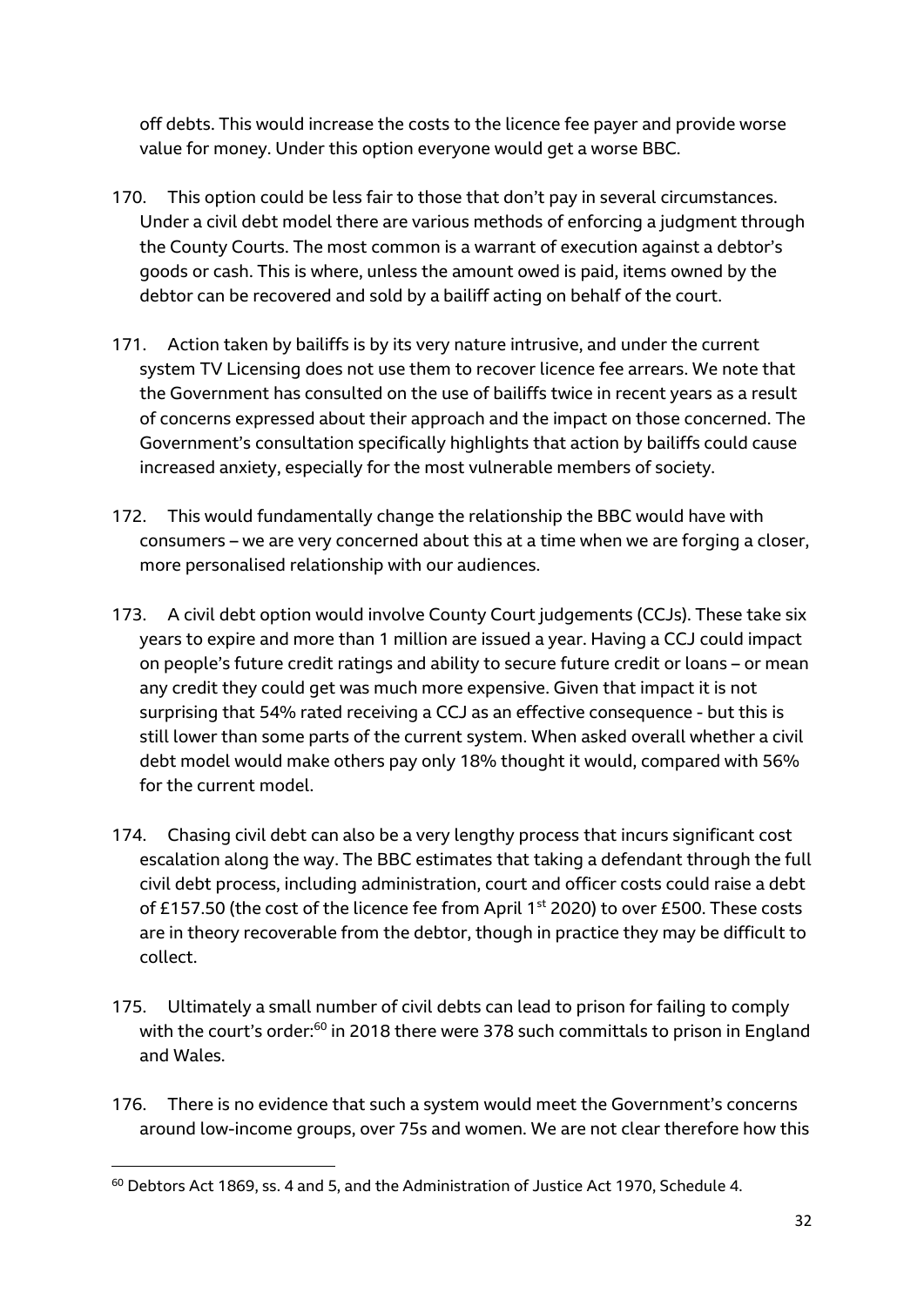off debts. This would increase the costs to the licence fee payer and provide worse value for money. Under this option everyone would get a worse BBC.

- 170. This option could be less fair to those that don't pay in several circumstances. Under a civil debt model there are various methods of enforcing a judgment through the County Courts. The most common is a warrant of execution against a debtor's goods or cash. This is where, unless the amount owed is paid, items owned by the debtor can be recovered and sold by a bailiff acting on behalf of the court.
- 171. Action taken by bailiffs is by its very nature intrusive, and under the current system TV Licensing does not use them to recover licence fee arrears. We note that the Government has consulted on the use of bailiffs twice in recent years as a result of concerns expressed about their approach and the impact on those concerned. The Government's consultation specifically highlights that action by bailiffs could cause increased anxiety, especially for the most vulnerable members of society.
- 172. This would fundamentally change the relationship the BBC would have with consumers – we are very concerned about this at a time when we are forging a closer, more personalised relationship with our audiences.
- 173. A civil debt option would involve County Court judgements (CCJs). These take six years to expire and more than 1 million are issued a year. Having a CCJ could impact on people's future credit ratings and ability to secure future credit or loans – or mean any credit they could get was much more expensive. Given that impact it is not surprising that 54% rated receiving a CCJ as an effective consequence - but this is still lower than some parts of the current system. When asked overall whether a civil debt model would make others pay only 18% thought it would, compared with 56% for the current model.
- 174. Chasing civil debt can also be a very lengthy process that incurs significant cost escalation along the way. The BBC estimates that taking a defendant through the full civil debt process, including administration, court and officer costs could raise a debt of £157.50 (the cost of the licence fee from April 1<sup>st</sup> 2020) to over £500. These costs are in theory recoverable from the debtor, though in practice they may be difficult to collect.
- 175. Ultimately a small number of civil debts can lead to prison for failing to comply with the court's order:<sup>60</sup> in 2018 there were 378 such committals to prison in England and Wales.
- 176. There is no evidence that such a system would meet the Government's concerns around low-income groups, over 75s and women. We are not clear therefore how this

 $60$  Debtors Act 1869, ss. 4 and 5, and the Administration of Justice Act 1970, Schedule 4.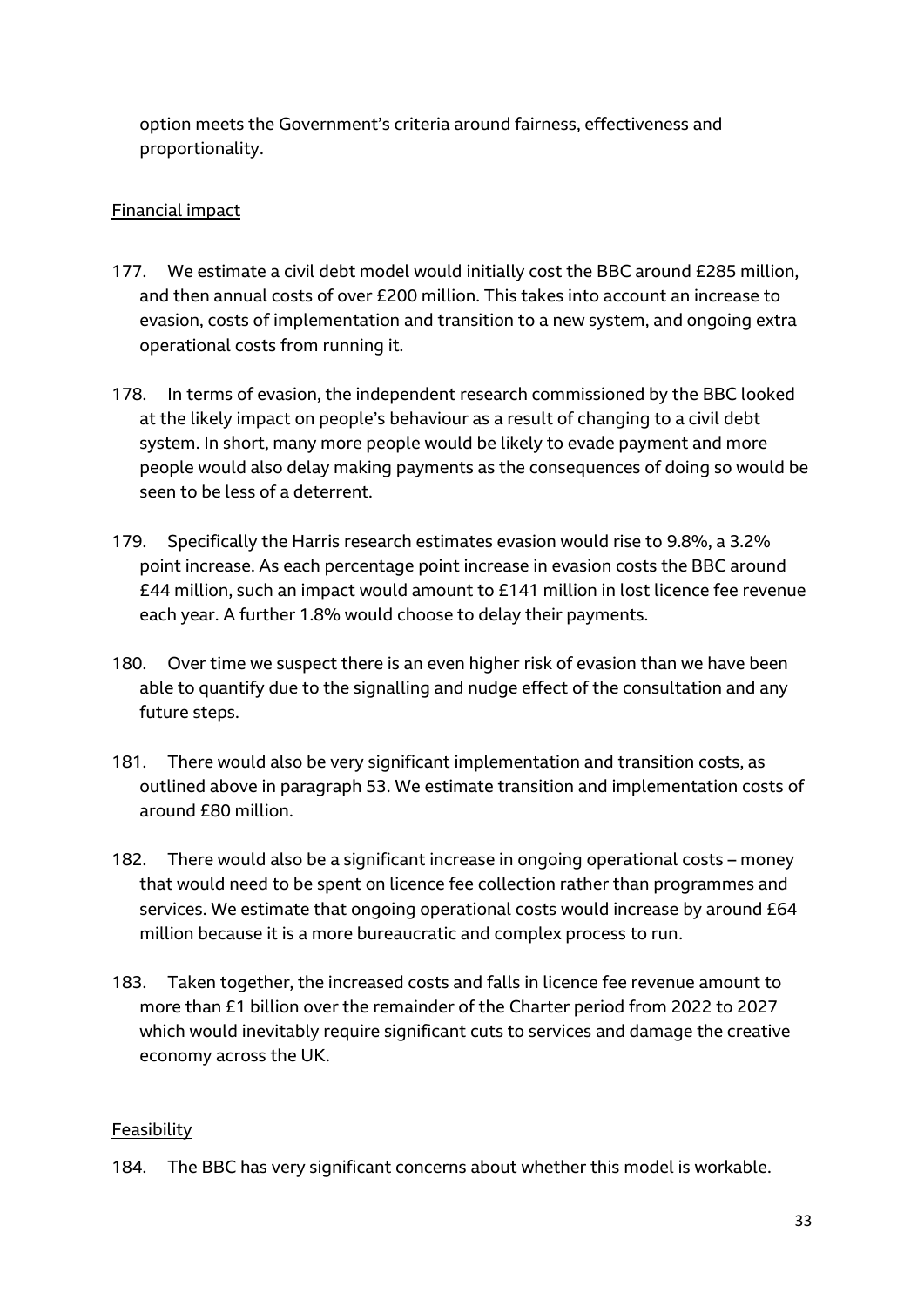option meets the Government's criteria around fairness, effectiveness and proportionality.

# Financial impact

- 177. We estimate a civil debt model would initially cost the BBC around £285 million, and then annual costs of over £200 million. This takes into account an increase to evasion, costs of implementation and transition to a new system, and ongoing extra operational costs from running it.
- 178. In terms of evasion, the independent research commissioned by the BBC looked at the likely impact on people's behaviour as a result of changing to a civil debt system. In short, many more people would be likely to evade payment and more people would also delay making payments as the consequences of doing so would be seen to be less of a deterrent.
- 179. Specifically the Harris research estimates evasion would rise to 9.8%, a 3.2% point increase. As each percentage point increase in evasion costs the BBC around £44 million, such an impact would amount to £141 million in lost licence fee revenue each year. A further 1.8% would choose to delay their payments.
- 180. Over time we suspect there is an even higher risk of evasion than we have been able to quantify due to the signalling and nudge effect of the consultation and any future steps.
- 181. There would also be very significant implementation and transition costs, as outlined above in paragraph 53. We estimate transition and implementation costs of around £80 million.
- 182. There would also be a significant increase in ongoing operational costs money that would need to be spent on licence fee collection rather than programmes and services. We estimate that ongoing operational costs would increase by around £64 million because it is a more bureaucratic and complex process to run.
- 183. Taken together, the increased costs and falls in licence fee revenue amount to more than £1 billion over the remainder of the Charter period from 2022 to 2027 which would inevitably require significant cuts to services and damage the creative economy across the UK.

# Feasibility

184. The BBC has very significant concerns about whether this model is workable.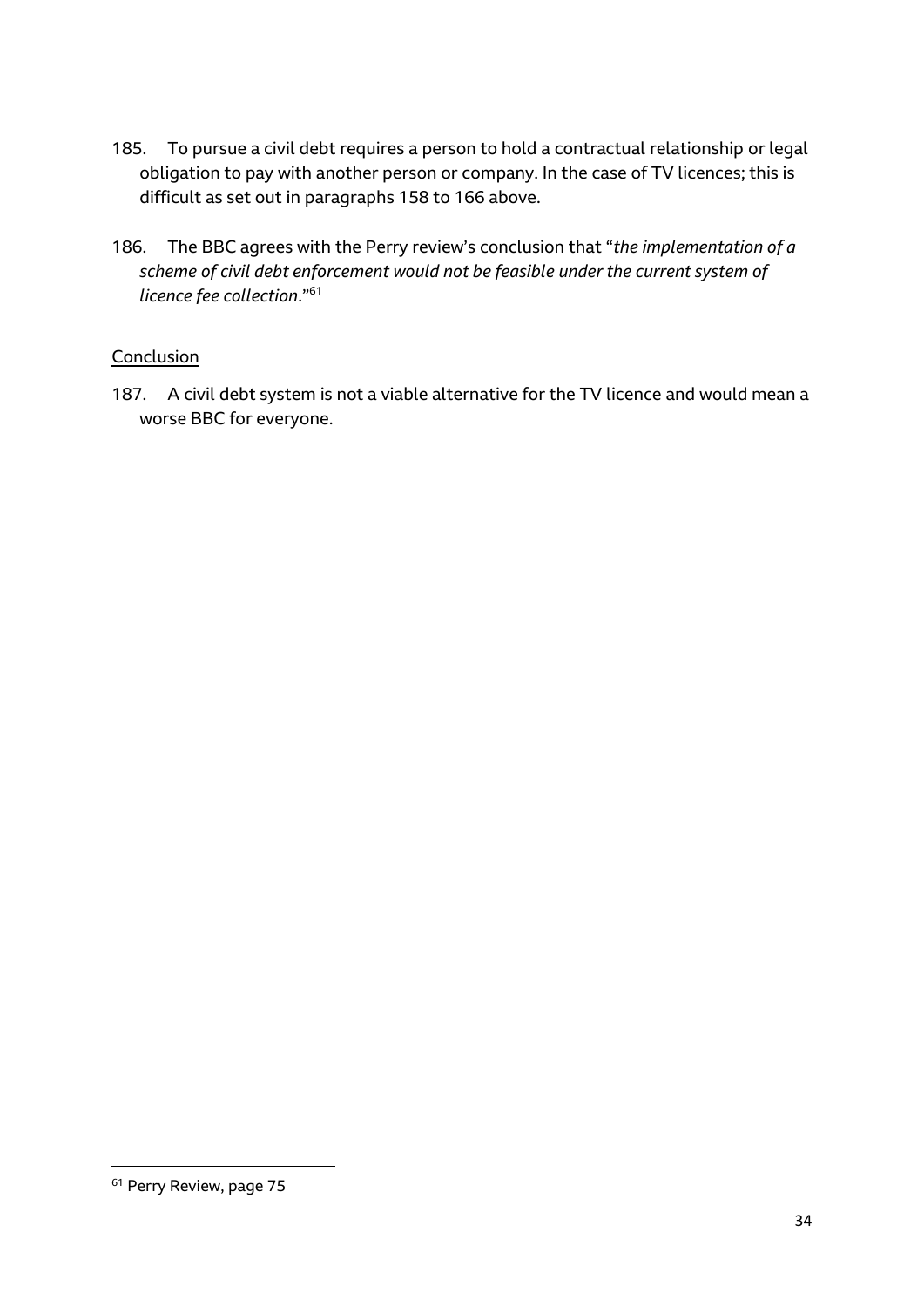- 185. To pursue a civil debt requires a person to hold a contractual relationship or legal obligation to pay with another person or company. In the case of TV licences; this is difficult as set out in paragraphs 158 to 166 above.
- 186. The BBC agrees with the Perry review's conclusion that "*the implementation of a scheme of civil debt enforcement would not be feasible under the current system of licence fee collection*."<sup>61</sup>

#### **Conclusion**

187. A civil debt system is not a viable alternative for the TV licence and would mean a worse BBC for everyone.

<sup>61</sup> Perry Review, page 75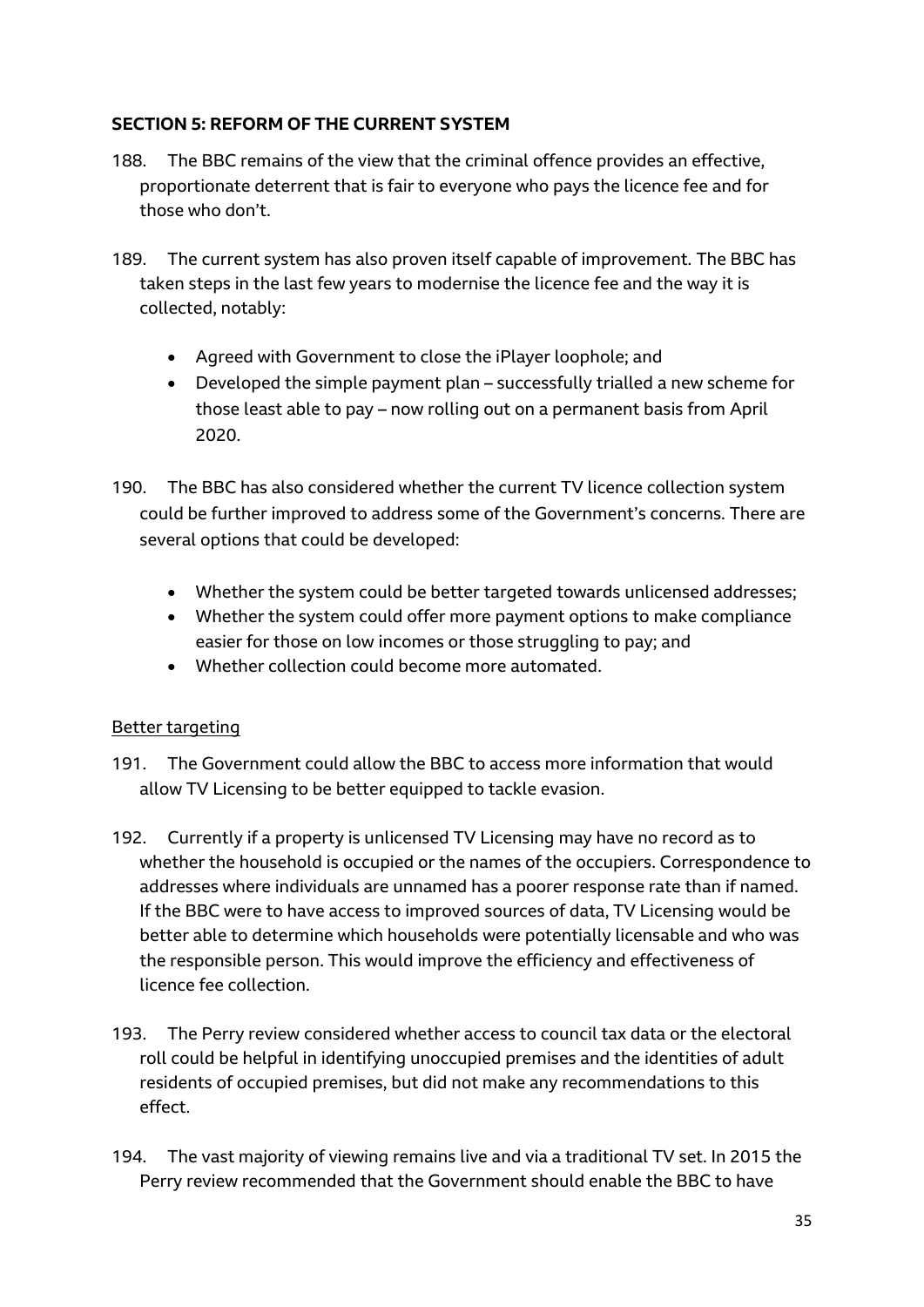# **SECTION 5: REFORM OF THE CURRENT SYSTEM**

- 188. The BBC remains of the view that the criminal offence provides an effective, proportionate deterrent that is fair to everyone who pays the licence fee and for those who don't.
- 189. The current system has also proven itself capable of improvement. The BBC has taken steps in the last few years to modernise the licence fee and the way it is collected, notably:
	- Agreed with Government to close the iPlayer loophole; and
	- Developed the simple payment plan successfully trialled a new scheme for those least able to pay – now rolling out on a permanent basis from April 2020.
- 190. The BBC has also considered whether the current TV licence collection system could be further improved to address some of the Government's concerns. There are several options that could be developed:
	- Whether the system could be better targeted towards unlicensed addresses;
	- Whether the system could offer more payment options to make compliance easier for those on low incomes or those struggling to pay; and
	- Whether collection could become more automated.

# Better targeting

- 191. The Government could allow the BBC to access more information that would allow TV Licensing to be better equipped to tackle evasion.
- 192. Currently if a property is unlicensed TV Licensing may have no record as to whether the household is occupied or the names of the occupiers. Correspondence to addresses where individuals are unnamed has a poorer response rate than if named. If the BBC were to have access to improved sources of data, TV Licensing would be better able to determine which households were potentially licensable and who was the responsible person. This would improve the efficiency and effectiveness of licence fee collection.
- 193. The Perry review considered whether access to council tax data or the electoral roll could be helpful in identifying unoccupied premises and the identities of adult residents of occupied premises, but did not make any recommendations to this effect.
- 194. The vast majority of viewing remains live and via a traditional TV set. In 2015 the Perry review recommended that the Government should enable the BBC to have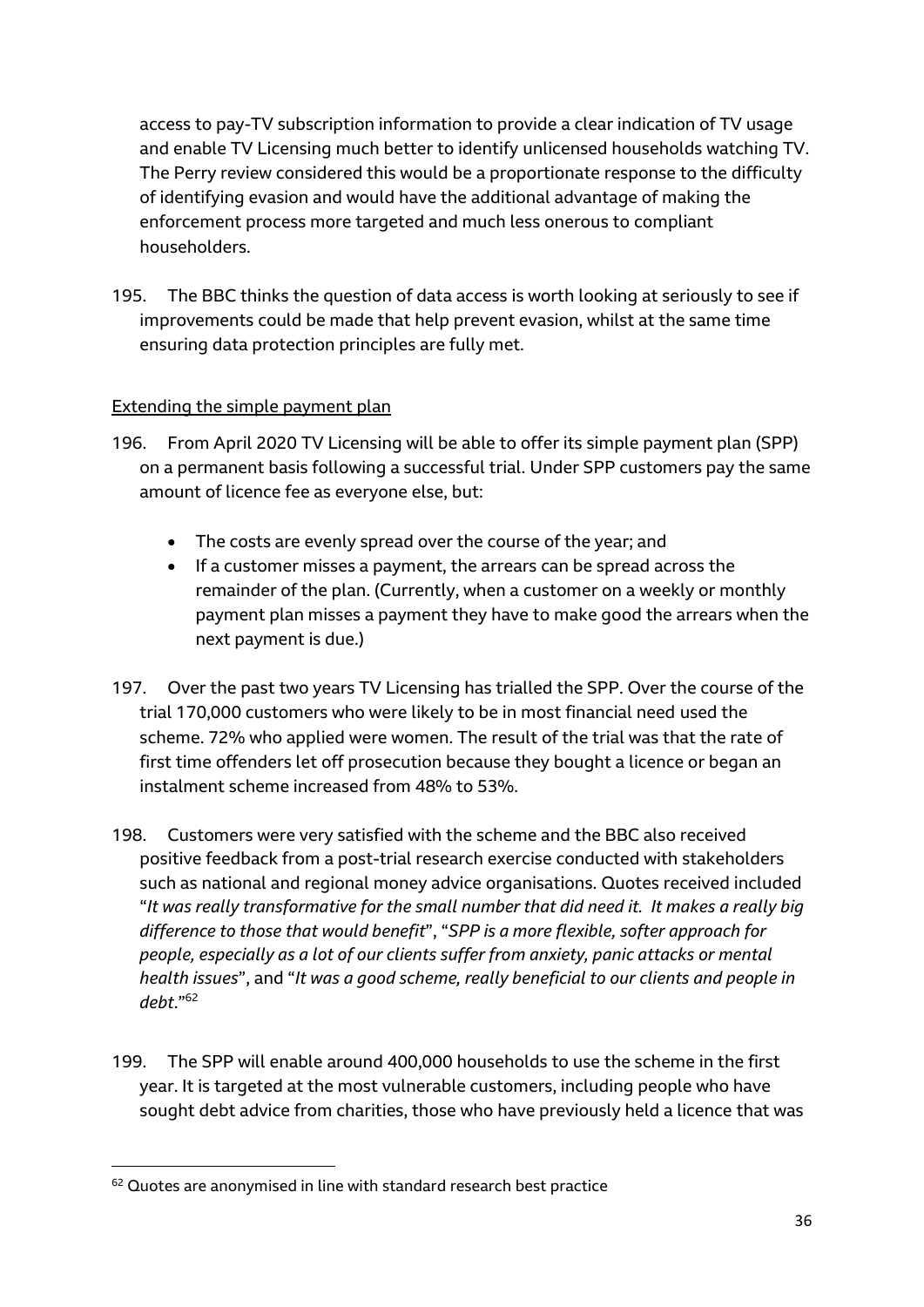access to pay-TV subscription information to provide a clear indication of TV usage and enable TV Licensing much better to identify unlicensed households watching TV. The Perry review considered this would be a proportionate response to the difficulty of identifying evasion and would have the additional advantage of making the enforcement process more targeted and much less onerous to compliant householders.

195. The BBC thinks the question of data access is worth looking at seriously to see if improvements could be made that help prevent evasion, whilst at the same time ensuring data protection principles are fully met.

# Extending the simple payment plan

- 196. From April 2020 TV Licensing will be able to offer its simple payment plan (SPP) on a permanent basis following a successful trial. Under SPP customers pay the same amount of licence fee as everyone else, but:
	- The costs are evenly spread over the course of the year; and
	- If a customer misses a payment, the arrears can be spread across the remainder of the plan. (Currently, when a customer on a weekly or monthly payment plan misses a payment they have to make good the arrears when the next payment is due.)
- 197. Over the past two years TV Licensing has trialled the SPP. Over the course of the trial 170,000 customers who were likely to be in most financial need used the scheme. 72% who applied were women. The result of the trial was that the rate of first time offenders let off prosecution because they bought a licence or began an instalment scheme increased from 48% to 53%.
- 198. Customers were very satisfied with the scheme and the BBC also received positive feedback from a post-trial research exercise conducted with stakeholders such as national and regional money advice organisations. Quotes received included "*It was really transformative for the small number that did need it. It makes a really big difference to those that would benefit*", "*SPP is a more flexible, softer approach for people, especially as a lot of our clients suffer from anxiety, panic attacks or mental health issues*", and "*It was a good scheme, really beneficial to our clients and people in debt*."<sup>62</sup>
- 199. The SPP will enable around 400,000 households to use the scheme in the first year. It is targeted at the most vulnerable customers, including people who have sought debt advice from charities, those who have previously held a licence that was

<sup>&</sup>lt;sup>62</sup> Quotes are anonymised in line with standard research best practice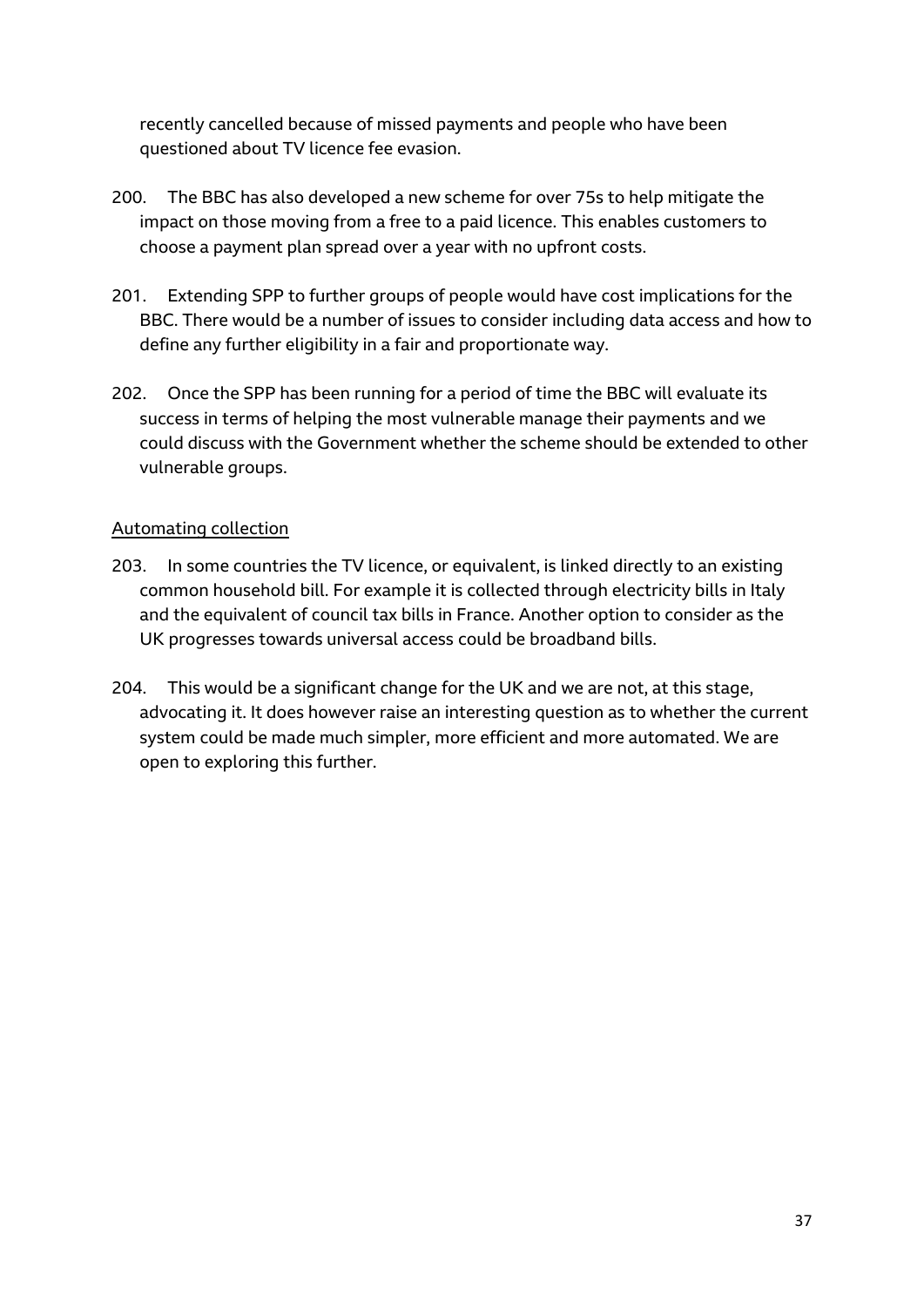recently cancelled because of missed payments and people who have been questioned about TV licence fee evasion.

- 200. The BBC has also developed a new scheme for over 75s to help mitigate the impact on those moving from a free to a paid licence. This enables customers to choose a payment plan spread over a year with no upfront costs.
- 201. Extending SPP to further groups of people would have cost implications for the BBC. There would be a number of issues to consider including data access and how to define any further eligibility in a fair and proportionate way.
- 202. Once the SPP has been running for a period of time the BBC will evaluate its success in terms of helping the most vulnerable manage their payments and we could discuss with the Government whether the scheme should be extended to other vulnerable groups.

#### Automating collection

- 203. In some countries the TV licence, or equivalent, is linked directly to an existing common household bill. For example it is collected through electricity bills in Italy and the equivalent of council tax bills in France. Another option to consider as the UK progresses towards universal access could be broadband bills.
- 204. This would be a significant change for the UK and we are not, at this stage, advocating it. It does however raise an interesting question as to whether the current system could be made much simpler, more efficient and more automated. We are open to exploring this further.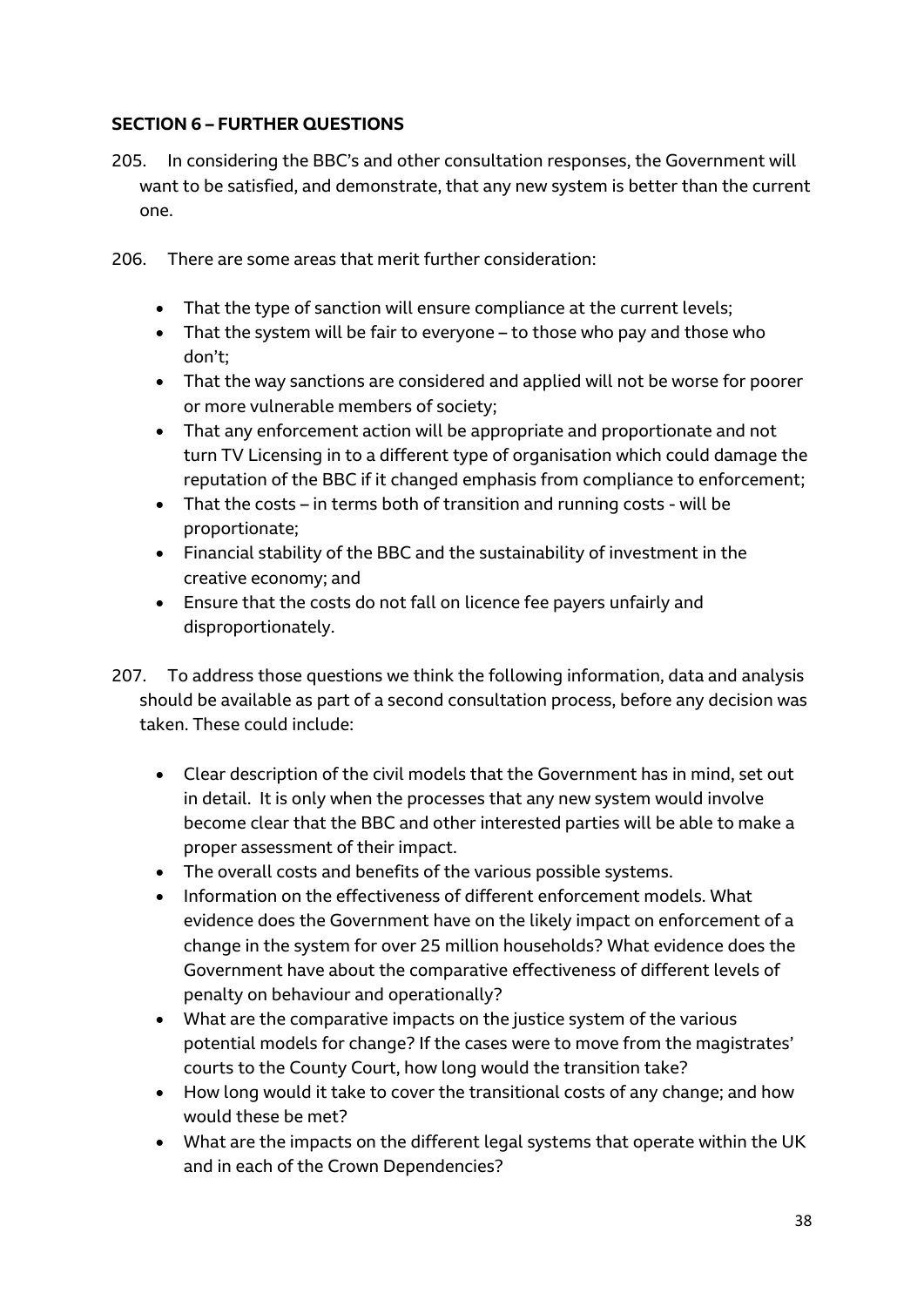# **SECTION 6 – FURTHER QUESTIONS**

- 205. In considering the BBC's and other consultation responses, the Government will want to be satisfied, and demonstrate, that any new system is better than the current one.
- 206. There are some areas that merit further consideration:
	- That the type of sanction will ensure compliance at the current levels;
	- That the system will be fair to everyone to those who pay and those who don't;
	- That the way sanctions are considered and applied will not be worse for poorer or more vulnerable members of society;
	- That any enforcement action will be appropriate and proportionate and not turn TV Licensing in to a different type of organisation which could damage the reputation of the BBC if it changed emphasis from compliance to enforcement;
	- That the costs in terms both of transition and running costs will be proportionate;
	- Financial stability of the BBC and the sustainability of investment in the creative economy; and
	- Ensure that the costs do not fall on licence fee payers unfairly and disproportionately.
- 207. To address those questions we think the following information, data and analysis should be available as part of a second consultation process, before any decision was taken. These could include:
	- Clear description of the civil models that the Government has in mind, set out in detail. It is only when the processes that any new system would involve become clear that the BBC and other interested parties will be able to make a proper assessment of their impact.
	- The overall costs and benefits of the various possible systems.
	- Information on the effectiveness of different enforcement models. What evidence does the Government have on the likely impact on enforcement of a change in the system for over 25 million households? What evidence does the Government have about the comparative effectiveness of different levels of penalty on behaviour and operationally?
	- What are the comparative impacts on the justice system of the various potential models for change? If the cases were to move from the magistrates' courts to the County Court, how long would the transition take?
	- How long would it take to cover the transitional costs of any change; and how would these be met?
	- What are the impacts on the different legal systems that operate within the UK and in each of the Crown Dependencies?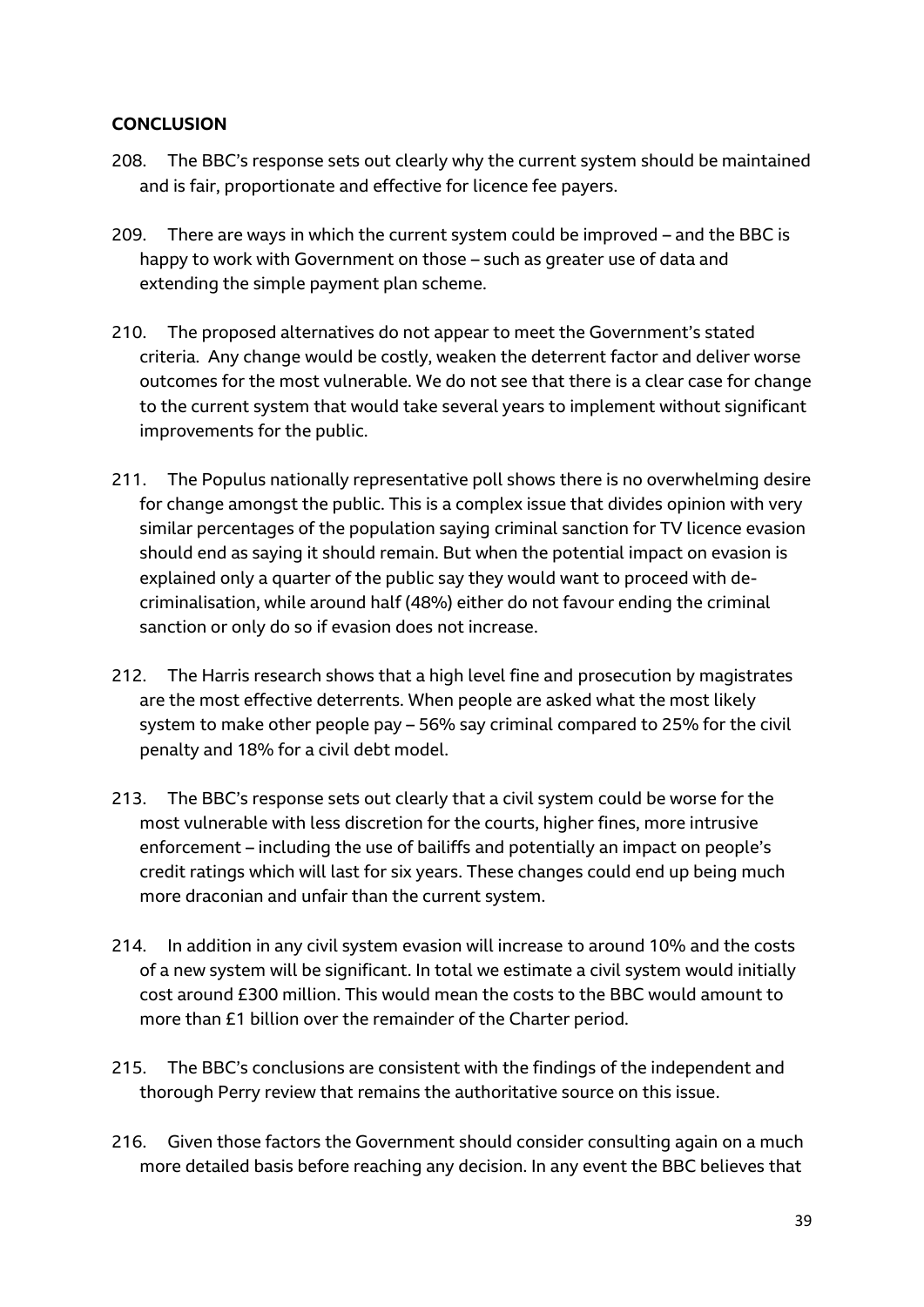#### **CONCLUSION**

- 208. The BBC's response sets out clearly why the current system should be maintained and is fair, proportionate and effective for licence fee payers.
- 209. There are ways in which the current system could be improved and the BBC is happy to work with Government on those – such as greater use of data and extending the simple payment plan scheme.
- 210. The proposed alternatives do not appear to meet the Government's stated criteria. Any change would be costly, weaken the deterrent factor and deliver worse outcomes for the most vulnerable. We do not see that there is a clear case for change to the current system that would take several years to implement without significant improvements for the public.
- 211. The Populus nationally representative poll shows there is no overwhelming desire for change amongst the public. This is a complex issue that divides opinion with very similar percentages of the population saying criminal sanction for TV licence evasion should end as saying it should remain. But when the potential impact on evasion is explained only a quarter of the public say they would want to proceed with decriminalisation, while around half (48%) either do not favour ending the criminal sanction or only do so if evasion does not increase.
- 212. The Harris research shows that a high level fine and prosecution by magistrates are the most effective deterrents. When people are asked what the most likely system to make other people pay – 56% say criminal compared to 25% for the civil penalty and 18% for a civil debt model.
- 213. The BBC's response sets out clearly that a civil system could be worse for the most vulnerable with less discretion for the courts, higher fines, more intrusive enforcement – including the use of bailiffs and potentially an impact on people's credit ratings which will last for six years. These changes could end up being much more draconian and unfair than the current system.
- 214. In addition in any civil system evasion will increase to around 10% and the costs of a new system will be significant. In total we estimate a civil system would initially cost around £300 million. This would mean the costs to the BBC would amount to more than £1 billion over the remainder of the Charter period.
- 215. The BBC's conclusions are consistent with the findings of the independent and thorough Perry review that remains the authoritative source on this issue.
- 216. Given those factors the Government should consider consulting again on a much more detailed basis before reaching any decision. In any event the BBC believes that